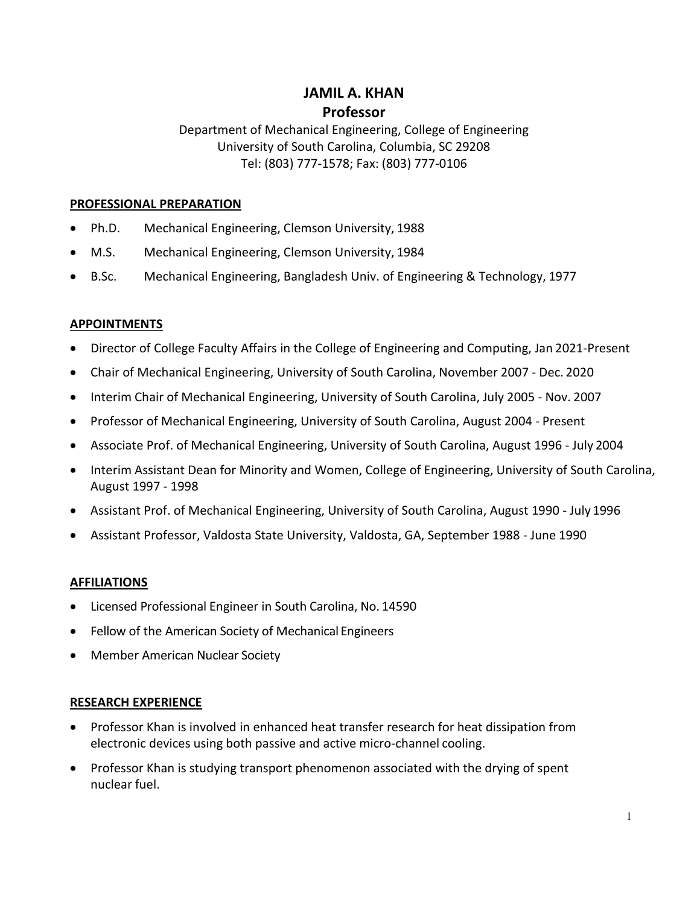# **JAMIL A. KHAN Professor**

Department of Mechanical Engineering, College of Engineering University of South Carolina, Columbia, SC 29208 Tel: (803) 777-1578; Fax: (803) 777-0106

### **PROFESSIONAL PREPARATION**

- Ph.D. Mechanical Engineering, Clemson University, 1988
- M.S. Mechanical Engineering, Clemson University, 1984
- B.Sc. Mechanical Engineering, Bangladesh Univ. of Engineering & Technology, 1977

# **APPOINTMENTS**

- Director of College Faculty Affairs in the College of Engineering and Computing, Jan 2021-Present
- Chair of Mechanical Engineering, University of South Carolina, November 2007 Dec. 2020
- Interim Chair of Mechanical Engineering, University of South Carolina, July 2005 Nov. 2007
- Professor of Mechanical Engineering, University of South Carolina, August 2004 Present
- Associate Prof. of Mechanical Engineering, University of South Carolina, August 1996 July 2004
- Interim Assistant Dean for Minority and Women, College of Engineering, University of South Carolina, August 1997 - 1998
- Assistant Prof. of Mechanical Engineering, University of South Carolina, August 1990 July 1996
- Assistant Professor, Valdosta State University, Valdosta, GA, September 1988 June 1990

### **AFFILIATIONS**

- Licensed Professional Engineer in South Carolina, No. 14590
- Fellow of the American Society of Mechanical Engineers
- Member American Nuclear Society

### **RESEARCH EXPERIENCE**

- Professor Khan is involved in enhanced heat transfer research for heat dissipation from electronic devices using both passive and active micro-channel cooling.
- Professor Khan is studying transport phenomenon associated with the drying of spent nuclear fuel.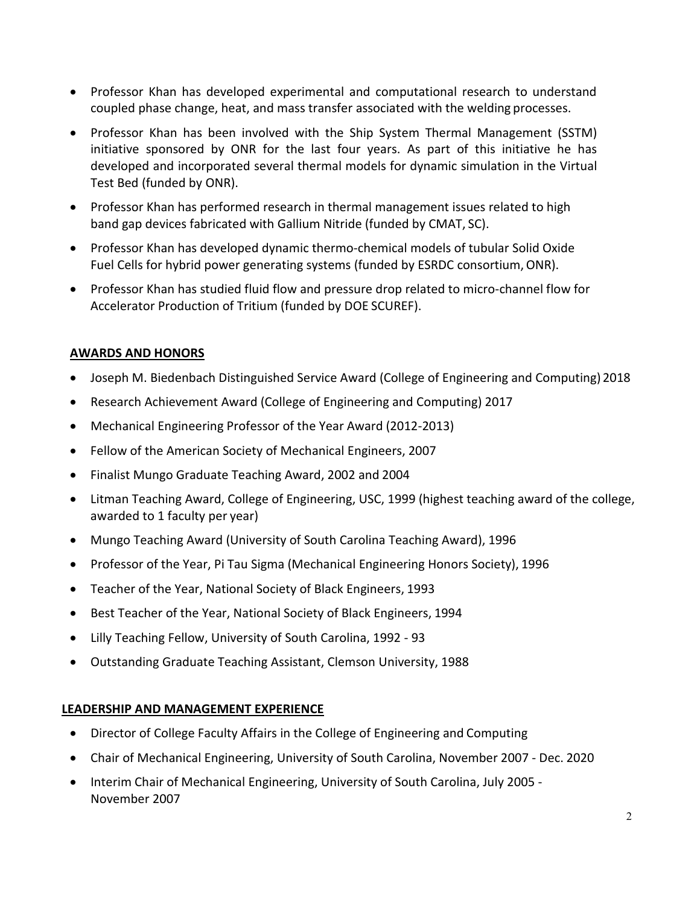- Professor Khan has developed experimental and computational research to understand coupled phase change, heat, and mass transfer associated with the welding processes.
- Professor Khan has been involved with the Ship System Thermal Management (SSTM) initiative sponsored by ONR for the last four years. As part of this initiative he has developed and incorporated several thermal models for dynamic simulation in the Virtual Test Bed (funded by ONR).
- Professor Khan has performed research in thermal management issues related to high band gap devices fabricated with Gallium Nitride (funded by CMAT, SC).
- Professor Khan has developed dynamic thermo-chemical models of tubular Solid Oxide Fuel Cells for hybrid power generating systems (funded by ESRDC consortium, ONR).
- Professor Khan has studied fluid flow and pressure drop related to micro-channel flow for Accelerator Production of Tritium (funded by DOE SCUREF).

### **AWARDS AND HONORS**

- Joseph M. Biedenbach Distinguished Service Award (College of Engineering and Computing) 2018
- Research Achievement Award (College of Engineering and Computing) 2017
- Mechanical Engineering Professor of the Year Award (2012-2013)
- Fellow of the American Society of Mechanical Engineers, 2007
- Finalist Mungo Graduate Teaching Award, 2002 and 2004
- Litman Teaching Award, College of Engineering, USC, 1999 (highest teaching award of the college, awarded to 1 faculty per year)
- Mungo Teaching Award (University of South Carolina Teaching Award), 1996
- Professor of the Year, Pi Tau Sigma (Mechanical Engineering Honors Society), 1996
- Teacher of the Year, National Society of Black Engineers, 1993
- Best Teacher of the Year, National Society of Black Engineers, 1994
- Lilly Teaching Fellow, University of South Carolina, 1992 93
- Outstanding Graduate Teaching Assistant, Clemson University, 1988

### **LEADERSHIP AND MANAGEMENT EXPERIENCE**

- Director of College Faculty Affairs in the College of Engineering and Computing
- Chair of Mechanical Engineering, University of South Carolina, November 2007 Dec. 2020
- Interim Chair of Mechanical Engineering, University of South Carolina, July 2005 November 2007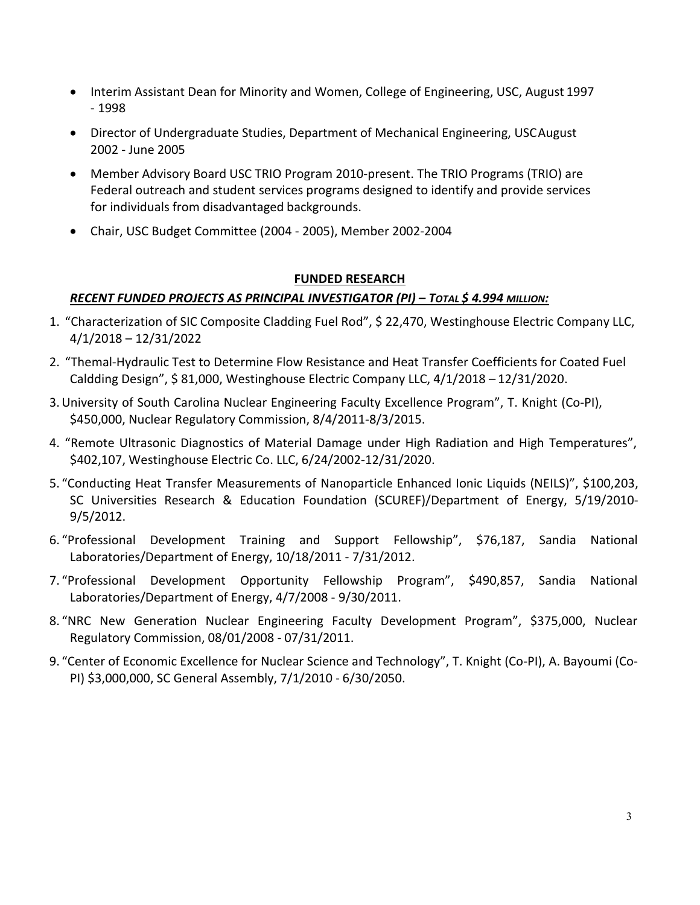- Interim Assistant Dean for Minority and Women, College of Engineering, USC, August 1997 - 1998
- Director of Undergraduate Studies, Department of Mechanical Engineering, USCAugust 2002 - June 2005
- Member Advisory Board USC TRIO Program 2010-present. The TRIO Programs (TRIO) are Federal outreach and student services programs designed to identify and provide services for individuals from disadvantaged backgrounds.
- Chair, USC Budget Committee (2004 2005), Member 2002-2004

### **FUNDED RESEARCH**

# *RECENT FUNDED PROJECTS AS PRINCIPAL INVESTIGATOR (PI) – TOTAL \$ 4.994 MILLION:*

- 1. "Characterization of SIC Composite Cladding Fuel Rod", \$ 22,470, Westinghouse Electric Company LLC, 4/1/2018 – 12/31/2022
- 2. "Themal-Hydraulic Test to Determine Flow Resistance and Heat Transfer Coefficients for Coated Fuel Caldding Design", \$ 81,000, Westinghouse Electric Company LLC, 4/1/2018 – 12/31/2020.
- 3.University of South Carolina Nuclear Engineering Faculty Excellence Program", T. Knight (Co-PI), \$450,000, Nuclear Regulatory Commission, 8/4/2011-8/3/2015.
- 4. "Remote Ultrasonic Diagnostics of Material Damage under High Radiation and High Temperatures", \$402,107, Westinghouse Electric Co. LLC, 6/24/2002-12/31/2020.
- 5. "Conducting Heat Transfer Measurements of Nanoparticle Enhanced Ionic Liquids (NEILS)", \$100,203, SC Universities Research & Education Foundation (SCUREF)/Department of Energy, 5/19/2010- 9/5/2012.
- 6. "Professional Development Training and Support Fellowship", \$76,187, Sandia National Laboratories/Department of Energy, 10/18/2011 - 7/31/2012.
- 7. "Professional Development Opportunity Fellowship Program", \$490,857, Sandia National Laboratories/Department of Energy, 4/7/2008 - 9/30/2011.
- 8. "NRC New Generation Nuclear Engineering Faculty Development Program", \$375,000, Nuclear Regulatory Commission, 08/01/2008 - 07/31/2011.
- 9. "Center of Economic Excellence for Nuclear Science and Technology", T. Knight (Co-PI), A. Bayoumi (Co-PI) \$3,000,000, SC General Assembly, 7/1/2010 - 6/30/2050.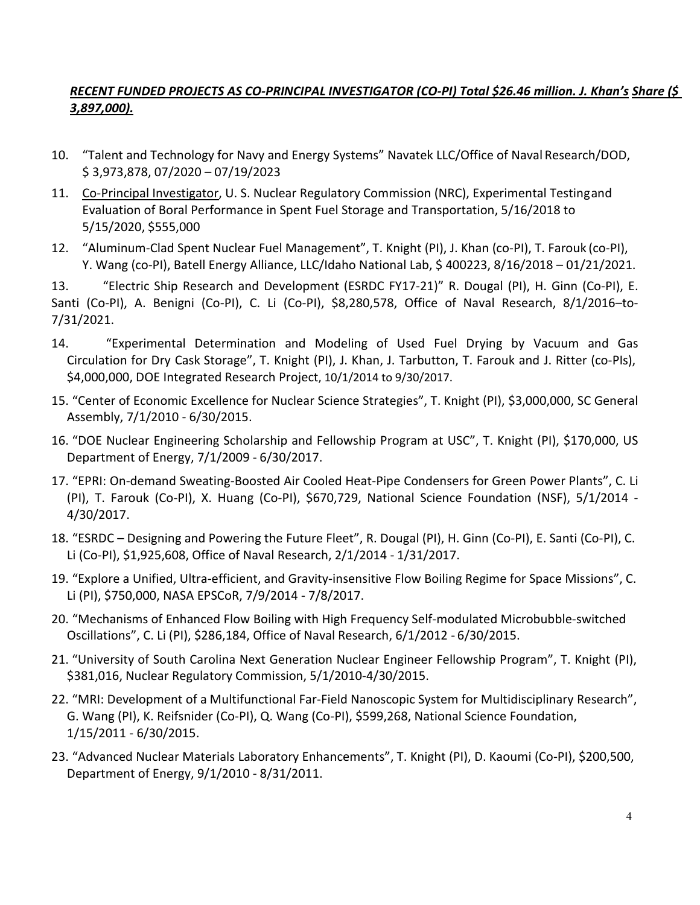# *RECENT FUNDED PROJECTS AS CO-PRINCIPAL INVESTIGATOR (CO-PI) Total \$26.46 million. J. Khan's Share (\$ 3,897,000).*

- 10. "Talent and Technology for Navy and Energy Systems" Navatek LLC/Office of Naval Research/DOD, \$ 3,973,878, 07/2020 – 07/19/2023
- 11. Co-Principal Investigator, U.S. Nuclear Regulatory Commission (NRC), Experimental Testingand Evaluation of Boral Performance in Spent Fuel Storage and Transportation, 5/16/2018 to 5/15/2020, \$555,000
- 12. "Aluminum-Clad Spent Nuclear Fuel Management", T. Knight (PI), J. Khan (co-PI), T. Farouk (co-PI), Y. Wang (co-PI), Batell Energy Alliance, LLC/Idaho National Lab, \$ 400223, 8/16/2018 – 01/21/2021.

13. "Electric Ship Research and Development (ESRDC FY17-21)" R. Dougal (PI), H. Ginn (Co-PI), E. Santi (Co-PI), A. Benigni (Co-PI), C. Li (Co-PI), \$8,280,578, Office of Naval Research, 8/1/2016–to-7/31/2021.

- 14. "Experimental Determination and Modeling of Used Fuel Drying by Vacuum and Gas Circulation for Dry Cask Storage", T. Knight (PI), J. Khan, J. Tarbutton, T. Farouk and J. Ritter (co-PIs), \$4,000,000, DOE Integrated Research Project, 10/1/2014 to 9/30/2017.
- 15. "Center of Economic Excellence for Nuclear Science Strategies", T. Knight (PI), \$3,000,000, SC General Assembly, 7/1/2010 - 6/30/2015.
- 16. "DOE Nuclear Engineering Scholarship and Fellowship Program at USC", T. Knight (PI), \$170,000, US Department of Energy, 7/1/2009 - 6/30/2017.
- 17. "EPRI: On-demand Sweating-Boosted Air Cooled Heat-Pipe Condensers for Green Power Plants", C. Li (PI), T. Farouk (Co-PI), X. Huang (Co-PI), \$670,729, National Science Foundation (NSF), 5/1/2014 - 4/30/2017.
- 18. "ESRDC Designing and Powering the Future Fleet", R. Dougal (PI), H. Ginn (Co-PI), E. Santi (Co-PI), C. Li (Co-PI), \$1,925,608, Office of Naval Research, 2/1/2014 - 1/31/2017.
- 19. "Explore a Unified, Ultra-efficient, and Gravity-insensitive Flow Boiling Regime for Space Missions", C. Li (PI), \$750,000, NASA EPSCoR, 7/9/2014 - 7/8/2017.
- 20. "Mechanisms of Enhanced Flow Boiling with High Frequency Self-modulated Microbubble-switched Oscillations", C. Li (PI), \$286,184, Office of Naval Research, 6/1/2012 - 6/30/2015.
- 21. "University of South Carolina Next Generation Nuclear Engineer Fellowship Program", T. Knight (PI), \$381,016, Nuclear Regulatory Commission, 5/1/2010-4/30/2015.
- 22. "MRI: Development of a Multifunctional Far-Field Nanoscopic System for Multidisciplinary Research", G. Wang (PI), K. Reifsnider (Co-PI), Q. Wang (Co-PI), \$599,268, National Science Foundation, 1/15/2011 - 6/30/2015.
- 23. "Advanced Nuclear Materials Laboratory Enhancements", T. Knight (PI), D. Kaoumi (Co-PI), \$200,500, Department of Energy, 9/1/2010 - 8/31/2011.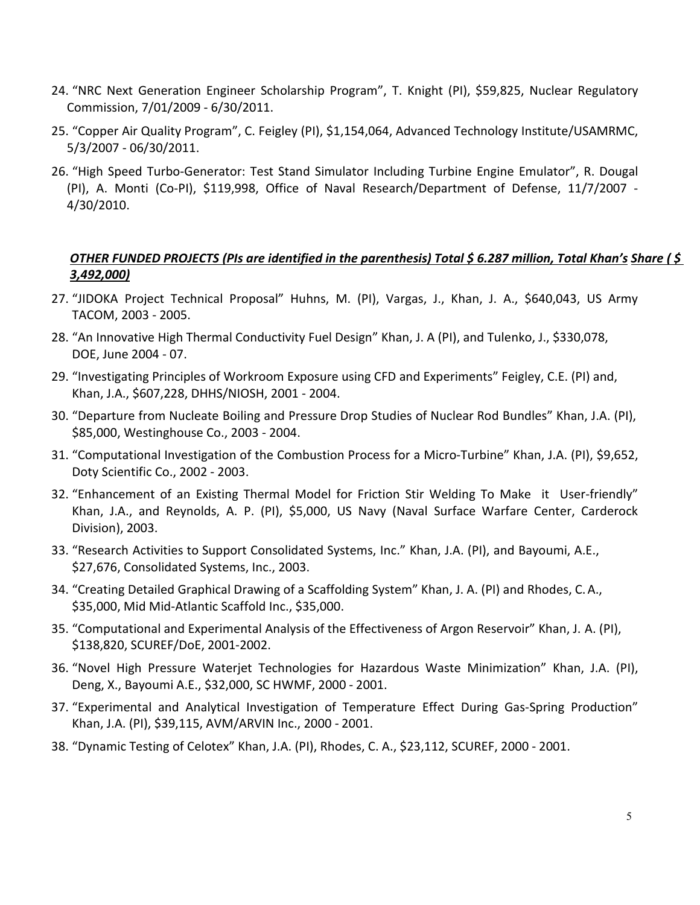- 24. "NRC Next Generation Engineer Scholarship Program", T. Knight (PI), \$59,825, Nuclear Regulatory Commission, 7/01/2009 - 6/30/2011.
- 25. "Copper Air Quality Program", C. Feigley (PI), \$1,154,064, Advanced Technology Institute/USAMRMC, 5/3/2007 - 06/30/2011.
- 26. "High Speed Turbo-Generator: Test Stand Simulator Including Turbine Engine Emulator", R. Dougal (PI), A. Monti (Co-PI), \$119,998, Office of Naval Research/Department of Defense, 11/7/2007 - 4/30/2010.

# *OTHER FUNDED PROJECTS (PIs are identified in the parenthesis) Total \$ 6.287 million, Total Khan's Share ( \$ 3,492,000)*

- 27. "JIDOKA Project Technical Proposal" Huhns, M. (PI), Vargas, J., Khan, J. A., \$640,043, US Army TACOM, 2003 - 2005.
- 28. "An Innovative High Thermal Conductivity Fuel Design" Khan, J. A (PI), and Tulenko, J., \$330,078, DOE, June 2004 - 07.
- 29. "Investigating Principles of Workroom Exposure using CFD and Experiments" Feigley, C.E. (PI) and, Khan, J.A., \$607,228, DHHS/NIOSH, 2001 - 2004.
- 30. "Departure from Nucleate Boiling and Pressure Drop Studies of Nuclear Rod Bundles" Khan, J.A. (PI), \$85,000, Westinghouse Co., 2003 - 2004.
- 31. "Computational Investigation of the Combustion Process for a Micro-Turbine" Khan, J.A. (PI), \$9,652, Doty Scientific Co., 2002 - 2003.
- 32. "Enhancement of an Existing Thermal Model for Friction Stir Welding To Make it User-friendly" Khan, J.A., and Reynolds, A. P. (PI), \$5,000, US Navy (Naval Surface Warfare Center, Carderock Division), 2003.
- 33. "Research Activities to Support Consolidated Systems, Inc." Khan, J.A. (PI), and Bayoumi, A.E., \$27,676, Consolidated Systems, Inc., 2003.
- 34. "Creating Detailed Graphical Drawing of a Scaffolding System" Khan, J. A. (PI) and Rhodes, C.A., \$35,000, Mid Mid-Atlantic Scaffold Inc., \$35,000.
- 35. "Computational and Experimental Analysis of the Effectiveness of Argon Reservoir" Khan, J. A. (PI), \$138,820, SCUREF/DoE, 2001-2002.
- 36. "Novel High Pressure Waterjet Technologies for Hazardous Waste Minimization" Khan, J.A. (PI), Deng, X., Bayoumi A.E., \$32,000, SC HWMF, 2000 - 2001.
- 37. "Experimental and Analytical Investigation of Temperature Effect During Gas-Spring Production" Khan, J.A. (PI), \$39,115, AVM/ARVIN Inc., 2000 - 2001.
- 38. "Dynamic Testing of Celotex" Khan, J.A. (PI), Rhodes, C. A., \$23,112, SCUREF, 2000 2001.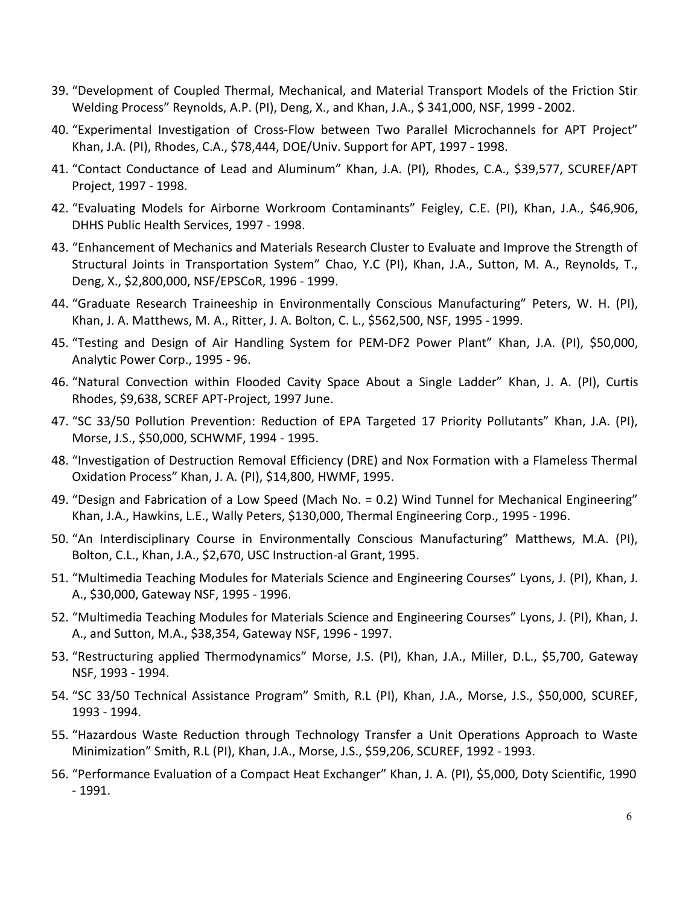- 39. "Development of Coupled Thermal, Mechanical, and Material Transport Models of the Friction Stir Welding Process" Reynolds, A.P. (PI), Deng, X., and Khan, J.A., \$ 341,000, NSF, 1999 - 2002.
- 40. "Experimental Investigation of Cross-Flow between Two Parallel Microchannels for APT Project" Khan, J.A. (PI), Rhodes, C.A., \$78,444, DOE/Univ. Support for APT, 1997 - 1998.
- 41. "Contact Conductance of Lead and Aluminum" Khan, J.A. (PI), Rhodes, C.A., \$39,577, SCUREF/APT Project, 1997 - 1998.
- 42. "Evaluating Models for Airborne Workroom Contaminants" Feigley, C.E. (PI), Khan, J.A., \$46,906, DHHS Public Health Services, 1997 - 1998.
- 43. "Enhancement of Mechanics and Materials Research Cluster to Evaluate and Improve the Strength of Structural Joints in Transportation System" Chao, Y.C (PI), Khan, J.A., Sutton, M. A., Reynolds, T., Deng, X., \$2,800,000, NSF/EPSCoR, 1996 - 1999.
- 44. "Graduate Research Traineeship in Environmentally Conscious Manufacturing" Peters, W. H. (PI), Khan, J. A. Matthews, M. A., Ritter, J. A. Bolton, C. L., \$562,500, NSF, 1995 - 1999.
- 45. "Testing and Design of Air Handling System for PEM-DF2 Power Plant" Khan, J.A. (PI), \$50,000, Analytic Power Corp., 1995 - 96.
- 46. "Natural Convection within Flooded Cavity Space About a Single Ladder" Khan, J. A. (PI), Curtis Rhodes, \$9,638, SCREF APT-Project, 1997 June.
- 47. "SC 33/50 Pollution Prevention: Reduction of EPA Targeted 17 Priority Pollutants" Khan, J.A. (PI), Morse, J.S., \$50,000, SCHWMF, 1994 - 1995.
- 48. "Investigation of Destruction Removal Efficiency (DRE) and Nox Formation with a Flameless Thermal Oxidation Process" Khan, J. A. (PI), \$14,800, HWMF, 1995.
- 49. "Design and Fabrication of a Low Speed (Mach No. = 0.2) Wind Tunnel for Mechanical Engineering" Khan, J.A., Hawkins, L.E., Wally Peters, \$130,000, Thermal Engineering Corp., 1995 - 1996.
- 50. "An Interdisciplinary Course in Environmentally Conscious Manufacturing" Matthews, M.A. (PI), Bolton, C.L., Khan, J.A., \$2,670, USC Instruction-al Grant, 1995.
- 51. "Multimedia Teaching Modules for Materials Science and Engineering Courses" Lyons, J. (PI), Khan, J. A., \$30,000, Gateway NSF, 1995 - 1996.
- 52. "Multimedia Teaching Modules for Materials Science and Engineering Courses" Lyons, J. (PI), Khan, J. A., and Sutton, M.A., \$38,354, Gateway NSF, 1996 - 1997.
- 53. "Restructuring applied Thermodynamics" Morse, J.S. (PI), Khan, J.A., Miller, D.L., \$5,700, Gateway NSF, 1993 - 1994.
- 54. "SC 33/50 Technical Assistance Program" Smith, R.L (PI), Khan, J.A., Morse, J.S., \$50,000, SCUREF, 1993 - 1994.
- 55. "Hazardous Waste Reduction through Technology Transfer a Unit Operations Approach to Waste Minimization" Smith, R.L (PI), Khan, J.A., Morse, J.S., \$59,206, SCUREF, 1992 - 1993.
- 56. "Performance Evaluation of a Compact Heat Exchanger" Khan, J. A. (PI), \$5,000, Doty Scientific, 1990 - 1991.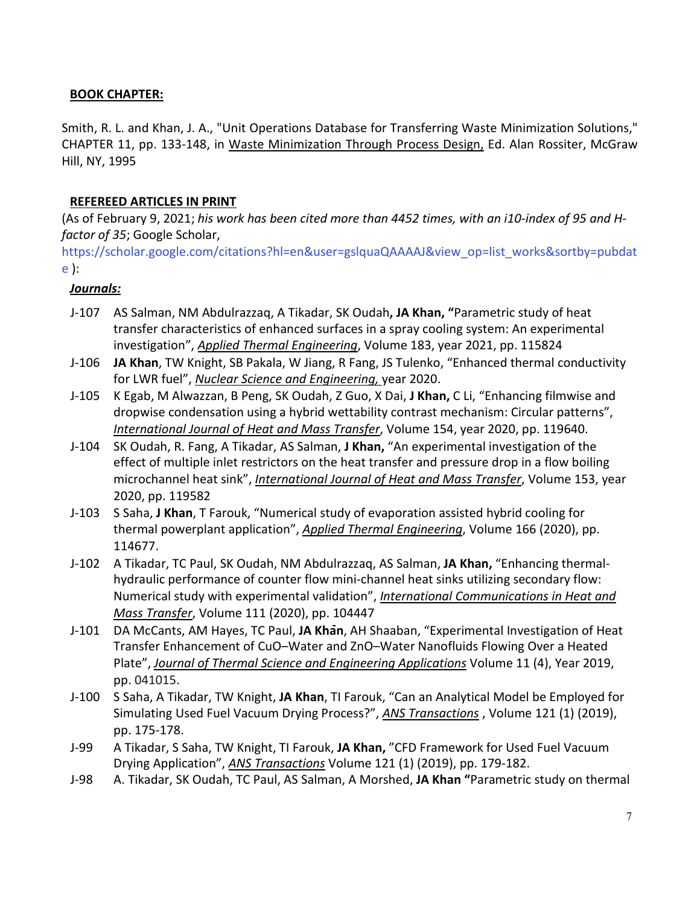### **BOOK CHAPTER:**

Smith, R. L. and Khan, J. A., "Unit Operations Database for Transferring Waste Minimization Solutions," CHAPTER 11, pp. 133-148, in Waste Minimization Through Process Design, Ed. Alan Rossiter, McGraw Hill, NY, 1995

#### **REFEREED ARTICLES IN PRINT**

(As of February 9, 2021; *his work has been cited more than 4452 times, with an i10-index of 95 and Hfactor of 35*; Google Scholar,

[https://scholar.google.com/citations?hl=en&user=gslquaQAAAAJ&view\\_op=list\\_works&sortby=pubdat](https://scholar.google.com/citations?hl=en&user=gslquaQAAAAJ&view_op=list_works&sortby=pubdate) [e \)](https://scholar.google.com/citations?hl=en&user=gslquaQAAAAJ&view_op=list_works&sortby=pubdate):

#### *Journals:*

- J-107 AS Salman, NM Abdulrazzaq, A Tikadar, SK Oudah**, JA Khan, "**Parametric study of heat transfer characteristics of enhanced surfaces in a spray cooling system: An experimental investigation", *Applied Thermal Engineering*, Volume 183, year 2021, pp. 115824
- J-106 **JA Khan**, TW Knight, SB Pakala, W Jiang, R Fang, JS Tulenko, "Enhanced thermal conductivity for LWR fuel", *Nuclear Science and Engineering,* year 2020.
- J-105 K Egab, M Alwazzan, B Peng, SK Oudah, Z Guo, X Dai, **J Khan,** C Li, "Enhancing filmwise and dropwise condensation using a hybrid wettability contrast mechanism: Circular patterns", *International Journal of Heat and Mass Transfer*, Volume 154, year 2020, pp. 119640.
- J-104 SK Oudah, R. Fang, A Tikadar, AS Salman, **J Khan,** "An experimental investigation of the effect of multiple inlet restrictors on the heat transfer and pressure drop in a flow boiling microchannel heat sink", *International Journal of Heat and Mass Transfer*, Volume 153, year 2020, pp. 119582
- J-103 S Saha, **J Khan**, T Farouk, "Numerical study of evaporation assisted hybrid cooling for thermal powerplant application", *Applied Thermal Engineering*, Volume 166 (2020), pp. 114677.
- J-102 A Tikadar, TC Paul, SK Oudah, NM Abdulrazzaq, AS Salman, **JA Khan,** "Enhancing thermalhydraulic performance of counter flow mini-channel heat sinks utilizing secondary flow: Numerical study with experimental validation", *International Communications in Heat and Mass Transfer*, Volume 111 (2020), pp. 104447
- J-101 DA McCants, AM Hayes, TC Paul, **JA Khan**, AH Shaaban, "Experimental Investigation of Heat Transfer Enhancement of CuO–Water and ZnO–Water Nanofluids Flowing Over a Heated Plate", *Journal of Thermal Science and Engineering Applications* Volume 11 (4), Year 2019, pp. 041015.
- J-100 S Saha, A Tikadar, TW Knight, **JA Khan**, TI Farouk, "Can an Analytical Model be Employed for Simulating Used Fuel Vacuum Drying Process?", *ANS Transactions* , Volume 121 (1) (2019), pp. 175-178.
- J-99 A Tikadar, S Saha, TW Knight, TI Farouk, **JA Khan,** "CFD Framework for Used Fuel Vacuum Drying Application", *ANS Transactions* Volume 121 (1) (2019), pp. 179-182.
- J-98 A. Tikadar, SK Oudah, TC Paul, AS Salman, A Morshed, **JA Khan "**Parametric study on thermal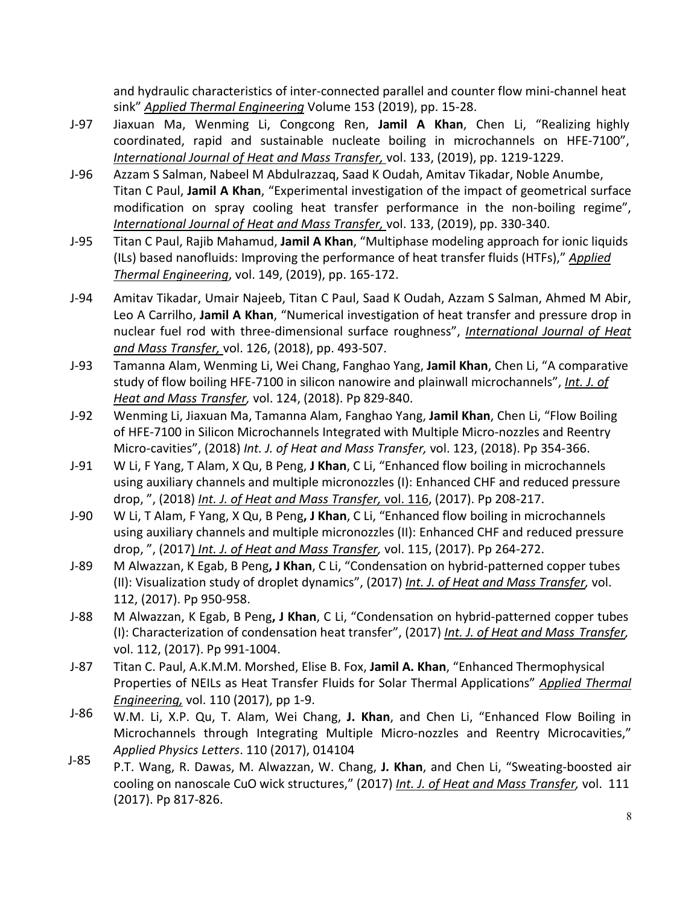and hydraulic characteristics of inter-connected parallel and counter flow mini-channel heat sink" *Applied Thermal Engineering* Volume 153 (2019), pp. 15-28.

- J-97 Jiaxuan Ma, Wenming Li, Congcong Ren, **Jamil A Khan**, Chen Li, "Realizing highly coordinated, rapid and sustainable nucleate boiling in microchannels on HFE-7100", *International Journal of Heat and Mass Transfer,* vol. 133, (2019), pp. 1219-1229.
- J-96 Azzam S Salman, Nabeel M Abdulrazzaq, Saad K Oudah, Amitav Tikadar, Noble Anumbe, Titan C Paul, **Jamil A Khan**, "Experimental investigation of the impact of geometrical surface modification on spray cooling heat transfer performance in the non-boiling regime", *International Journal of Heat and Mass Transfer,* vol. 133, (2019), pp. 330-340.
- J-95 Titan C Paul, Rajib Mahamud, **Jamil A Khan**, "Multiphase modeling approach for ionic liquids (ILs) based nanofluids: Improving the performance of heat transfer fluids (HTFs)," *Applied Thermal Engineering*, vol. 149, (2019), pp. 165-172.
- J-94 Amitav Tikadar, Umair Najeeb, Titan C Paul, Saad K Oudah, Azzam S Salman, Ahmed M Abir, Leo A Carrilho, **Jamil A Khan**, ["Numerical investigation of heat transfer and pressure drop in](https://www.sciencedirect.com/science/article/pii/S0017931018312274) [nuclear fuel rod with three-dimensional surface roughness"](https://www.sciencedirect.com/science/article/pii/S0017931018312274), *International Journal of Heat and Mass Transfer,* vol. 126, (2018), pp. 493-507.
- J-93 Tamanna Alam, Wenming Li, Wei Chang, Fanghao Yang, **Jamil Khan**, Chen Li, "A comparative study of flow boiling HFE-7100 in silicon nanowire and plainwall microchannels", *Int. J. of Heat and Mass Transfer,* vol. 124, (2018). Pp 829-840.
- J-92 Wenming Li, Jiaxuan Ma, Tamanna Alam, Fanghao Yang, **Jamil Khan**, Chen Li, "Flow Boiling of HFE-7100 in Silicon Microchannels Integrated with Multiple Micro-nozzles and Reentry Micro-cavities", (2018) *Int. J. of Heat and Mass Transfer,* vol. 123, (2018). Pp 354-366.
- J-91 W Li, F Yang, T Alam, X Qu, B Peng, **J Khan**, C Li, "Enhanced flow boiling in microchannels using auxiliary channels and multiple micronozzles (I): Enhanced CHF and reduced pressure drop, ", (2018) *Int. J. of Heat and Mass Transfer,* vol. 116, (2017). Pp 208-217.
- J-90 W Li, T Alam, F Yang, X Qu, B Peng**, J Khan**, C Li, "Enhanced flow boiling in microchannels using auxiliary channels and multiple micronozzles (II): Enhanced CHF and reduced pressure drop, ", (2017) *Int. J. of Heat and Mass Transfer,* vol. 115, (2017). Pp 264-272.
- J-89 M Alwazzan, K Egab, B Peng**, J Khan**, C Li, "Condensation on hybrid-patterned copper tubes (II): Visualization study of droplet dynamics", (2017) *Int. J. of Heat and Mass Transfer,* vol. 112, (2017). Pp 950-958.
- J-88 M Alwazzan, K Egab, B Peng**, J Khan**, C Li, "Condensation on hybrid-patterned copper tubes (I): Characterization of condensation heat transfer", (2017) *Int. J. of Heat and Mass Transfer,* vol. 112, (2017). Pp 991-1004.
- J-87 Titan C. Paul, A.K.M.M. Morshed, Elise B. Fox, **Jamil A. Khan**, "Enhanced Thermophysical Properties of NEILs as Heat Transfer Fluids for Solar Thermal Applications" *Applied Thermal Engineering,* vol. 110 (2017), pp 1-9.
- J-86 W.M. Li, X.P. Qu, T. Alam, Wei Chang, **J. Khan**, and Chen Li, "Enhanced Flow Boiling in Microchannels through Integrating Multiple Micro-nozzles and Reentry Microcavities," *Applied Physics Letters*. 110 (2017), 014104
- J-85 P.T. Wang, R. Dawas, M. Alwazzan, W. Chang, **J. Khan**, and Chen Li, "Sweating-boosted air cooling on nanoscale CuO wick structures," (2017) *Int. J. of Heat and Mass Transfer,* vol. 111 (2017). Pp 817-826.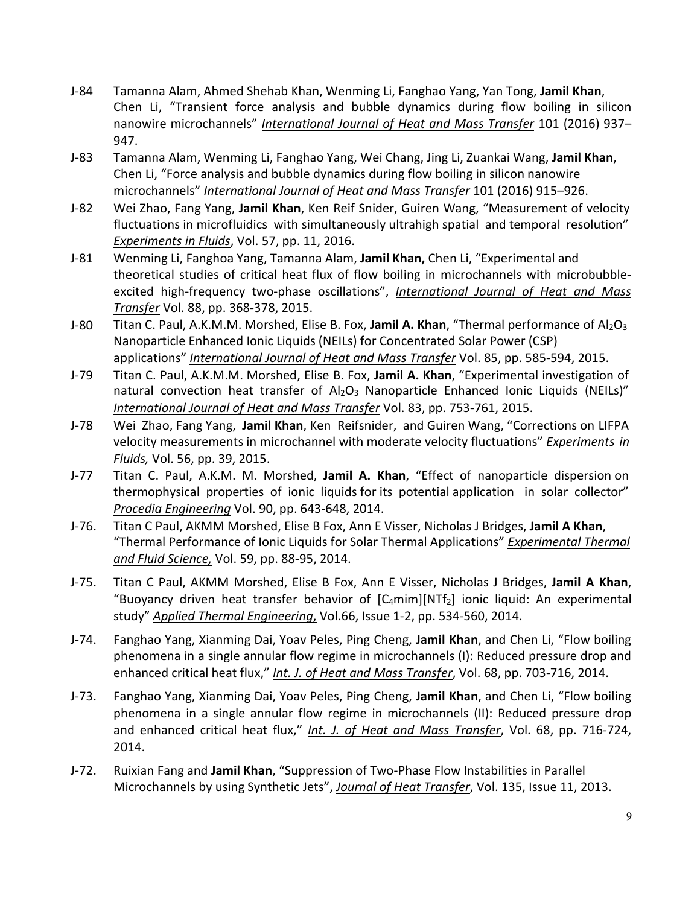- J-84 Tamanna Alam, Ahmed Shehab Khan, Wenming Li, Fanghao Yang, Yan Tong, **Jamil Khan**, Chen Li, "Transient force analysis and bubble dynamics during flow boiling in silicon nanowire microchannels" *International Journal of Heat and Mass Transfer* 101 (2016) 937– 947.
- J-83 Tamanna Alam, Wenming Li, Fanghao Yang, Wei Chang, Jing Li, Zuankai Wang, **Jamil Khan**, Chen Li, "Force analysis and bubble dynamics during flow boiling in silicon nanowire microchannels" *International Journal of Heat and Mass Transfer* 101 (2016) 915–926.
- J-82 Wei Zhao, Fang Yang, **Jamil Khan**, Ken Reif Snider, Guiren Wang, "Measurement of velocity fluctuations in microfluidics with simultaneously ultrahigh spatial and temporal resolution" *Experiments in Fluids*, Vol. 57, pp. 11, 2016.
- J-81 Wenming Li, Fanghoa Yang, Tamanna Alam, **Jamil Khan,** Chen Li, "Experimental and theoretical studies of critical heat flux of flow boiling in microchannels with microbubbleexcited high-frequency two-phase oscillations", *International Journal of Heat and Mass Transfer* Vol. 88, pp. 368-378, 2015.
- J-80 Titan C. Paul, A.K.M.M. Morshed, Elise B. Fox, Jamil A. Khan, "Thermal performance of Al<sub>2</sub>O<sub>3</sub> Nanoparticle Enhanced Ionic Liquids (NEILs) for Concentrated Solar Power (CSP) applications" *International Journal of Heat and Mass Transfer* Vol. 85, pp. 585-594, 2015.
- J-79 Titan C. Paul, A.K.M.M. Morshed, Elise B. Fox, **Jamil A. Khan**, "Experimental investigation of natural convection heat transfer of  $Al_2O_3$  Nanoparticle Enhanced Ionic Liquids (NEILs)" *International Journal of Heat and Mass Transfer* Vol. 83, pp. 753-761, 2015.
- J-78 Wei Zhao, Fang Yang, **Jamil Khan**, Ken Reifsnider, and Guiren Wang, "Corrections on LIFPA velocity measurements in microchannel with moderate velocity fluctuations" *Experiments in Fluids,* Vol. 56, pp. 39, 2015.
- J-77 Titan C. Paul, A.K.M. M. Morshed, **Jamil A. Khan**, "Effect of nanoparticle dispersion on thermophysical properties of ionic liquids for its potential application in solar collector" *Procedia Engineering* Vol. 90, pp. 643-648, 2014.
- J-76. Titan C Paul, AKMM Morshed, Elise B Fox, Ann E Visser, Nicholas J Bridges, **Jamil A Khan**, "Thermal Performance of Ionic Liquids for Solar Thermal Applications" *Experimental Thermal and Fluid Science,* Vol. 59, pp. 88-95, 2014.
- J-75. Titan C Paul, AKMM Morshed, Elise B Fox, Ann E Visser, Nicholas J Bridges, **Jamil A Khan**, "Buoyancy driven heat transfer behavior of  $[Camim][NTf<sub>2</sub>]$  ionic liquid: An experimental study" *Applied Thermal Engineering*, Vol.66, Issue 1-2, pp. 534-560, 2014.
- J-74. Fanghao Yang, Xianming Dai, Yoav Peles, Ping Cheng, **Jamil Khan**, and Chen Li, "Flow boiling phenomena in a single annular flow regime in microchannels (I): Reduced pressure drop and enhanced critical heat flux," *Int. J. of Heat and Mass Transfer*, Vol. 68, pp. 703-716, 2014.
- J-73. Fanghao Yang, Xianming Dai, Yoav Peles, Ping Cheng, **Jamil Khan**, and Chen Li, "Flow boiling phenomena in a single annular flow regime in microchannels (II): Reduced pressure drop and enhanced critical heat flux," *Int. J. of Heat and Mass Transfer*, Vol. 68, pp. 716-724, 2014.
- J-72. Ruixian Fang and **Jamil Khan**, "Suppression of Two-Phase Flow Instabilities in Parallel Microchannels by using Synthetic Jets", *Journal of Heat Transfer*, Vol. 135, Issue 11, 2013.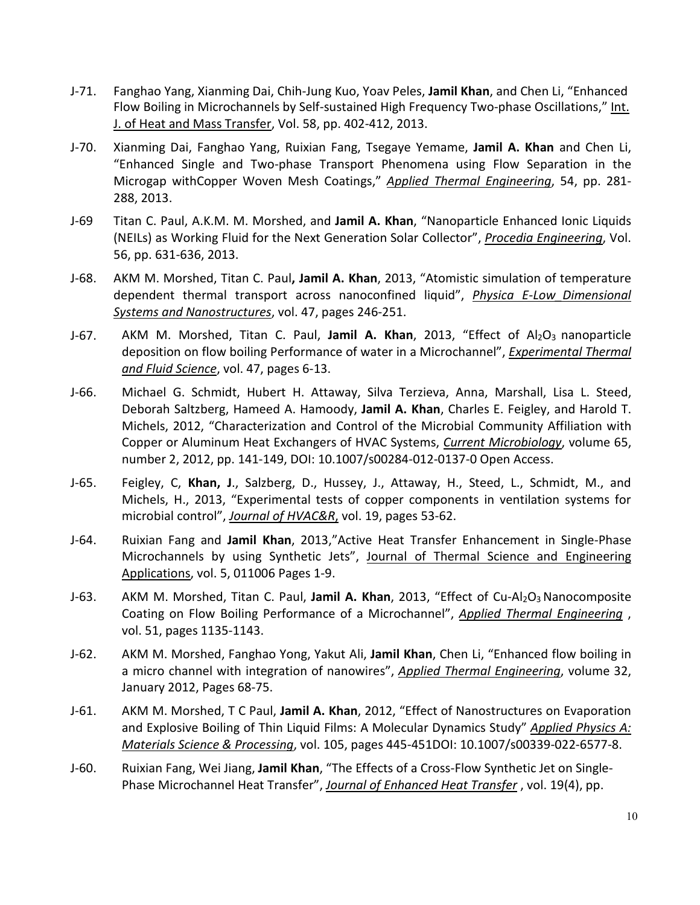- J-71. Fanghao Yang, Xianming Dai, Chih-Jung Kuo, Yoav Peles, **Jamil Khan**, and Chen Li, "Enhanced Flow Boiling in Microchannels by Self-sustained High Frequency Two-phase Oscillations," Int. J. of Heat and Mass Transfer, Vol. 58, pp. 402-412, 2013.
- J-70. Xianming Dai, Fanghao Yang, Ruixian Fang, Tsegaye Yemame, **Jamil A. Khan** and Chen Li, "Enhanced Single and Two-phase Transport Phenomena using Flow Separation in the Microgap withCopper Woven Mesh Coatings," *Applied Thermal Engineering*, 54, pp. 281- 288, 2013.
- J-69 Titan C. Paul, A.K.M. M. Morshed, and **Jamil A. Khan**, "Nanoparticle Enhanced Ionic Liquids (NEILs) as Working Fluid for the Next Generation Solar Collector", *Procedia Engineering*, Vol. 56, pp. 631-636, 2013.
- J-68. AKM M. Morshed, Titan C. Paul**, Jamil A. Khan**, 2013, "Atomistic simulation of temperature dependent thermal transport across nanoconfined liquid", *Physica E-Low\_Dimensional Systems and Nanostructures*, vol. 47, pages 246-251.
- J-67. AKM M. Morshed, Titan C. Paul, Jamil A. Khan, 2013, "Effect of Al<sub>2</sub>O<sub>3</sub> nanoparticle deposition on flow boiling Performance of water in a Microchannel", *Experimental Thermal and Fluid Science*, vol. 47, pages 6-13.
- J-66. Michael G. Schmidt, Hubert H. Attaway, Silva Terzieva, Anna, Marshall, Lisa L. Steed, Deborah Saltzberg, Hameed A. Hamoody, **Jamil A. Khan**, Charles E. Feigley, and Harold T. Michels, 2012, "Characterization and Control of the Microbial Community Affiliation with Copper or Aluminum Heat Exchangers of HVAC Systems, *Current Microbiology*, volume 65, number 2, 2012, pp. 141-149, DOI: 10.1007/s00284-012-0137-0 Open Access.
- J-65. Feigley, C, **Khan, J**., Salzberg, D., Hussey, J., Attaway, H., Steed, L., Schmidt, M., and Michels, H., 2013, "Experimental tests of copper components in ventilation systems for microbial control", *Journal of HVAC&R*, vol. 19, pages 53-62.
- J-64. Ruixian Fang and **Jamil Khan**, 2013,"Active Heat Transfer Enhancement in Single-Phase Microchannels by using Synthetic Jets", Journal of Thermal Science and Engineering Applications, vol. 5, 011006 Pages 1-9.
- J-63. AKM M. Morshed, Titan C. Paul, Jamil A. Khan, 2013, "Effect of Cu-Al<sub>2</sub>O<sub>3</sub> Nanocomposite Coating on Flow Boiling Performance of a Microchannel", *Applied Thermal Engineering* , vol. 51, pages 1135-1143.
- J-62. AKM M. Morshed, Fanghao Yong, Yakut Ali, **Jamil Khan**, Chen Li, "Enhanced flow boiling in a micro channel with integration of nanowires", *Applied Thermal Engineering*, volume 32, January 2012, Pages 68-75.
- J-61. AKM M. Morshed, T C Paul, **Jamil A. Khan**, 2012, "Effect of Nanostructures on Evaporation and Explosive Boiling of Thin Liquid Films: A Molecular Dynamics Study" *Applied Physics A: Materials Science & Processing*, vol. 105, pages 445-451DOI: 10.1007/s00339-022-6577-8.
- J-60. Ruixian Fang, Wei Jiang, **Jamil Khan**, "The Effects of a Cross-Flow Synthetic Jet on Single-Phase Microchannel Heat Transfer", *Journal of Enhanced Heat Transfer* , vol. 19(4), pp.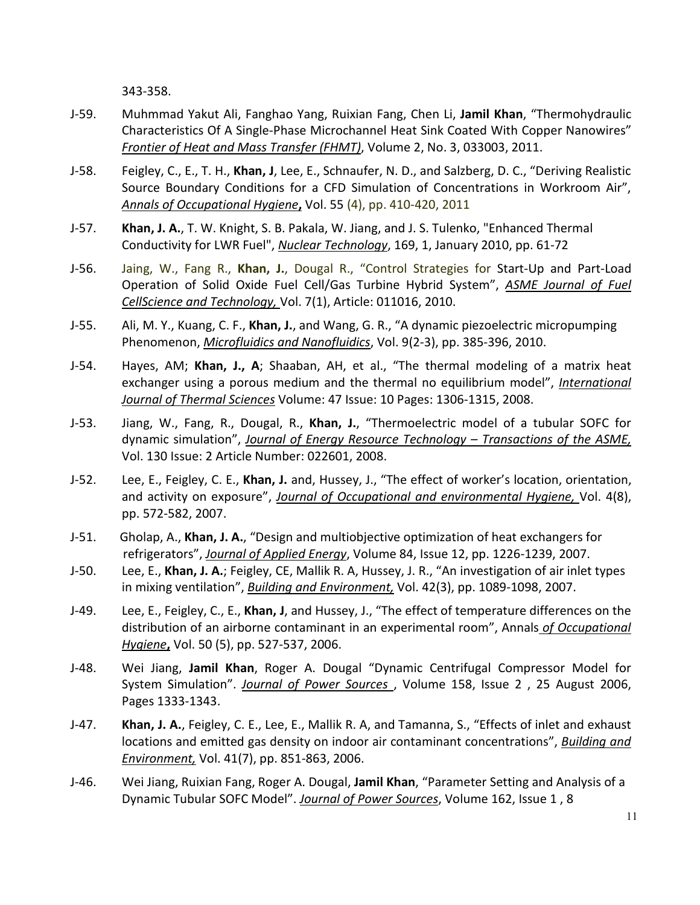343-358.

- J-59. Muhmmad Yakut Ali, Fanghao Yang, Ruixian Fang, Chen Li, **Jamil Khan**, "Thermohydraulic Characteristics Of A Single-Phase Microchannel Heat Sink Coated With Copper Nanowires" *Frontier of Heat and Mass Transfer (FHMT)*, Volume 2, No. 3, 033003, 2011.
- J-58. Feigley, C., E., T. H., **Khan, J**, Lee, E., Schnaufer, N. D., and Salzberg, D. C., "Deriving Realistic Source Boundary Conditions for a CFD Simulation of Concentrations in Workroom Air", *Annals of Occupational Hygiene***,** Vol. 55 (4), pp. 410-420, 2011
- J-57. **Khan, J. A.**, T. W. Knight, S. B. Pakala, W. Jiang, and J. S. Tulenko, "Enhanced Thermal Conductivity for LWR Fuel", *Nuclear Technology*, 169, 1, January 2010, pp. 61-72
- J-56. Jaing, W., Fang R., **Khan, J.**, Dougal R., "Control Strategies for Start-Up and Part-Load Operation of Solid Oxide Fuel Cell/Gas Turbine Hybrid System", *ASME Journal of Fuel CellScience and Technology,* Vol. 7(1), Article: 011016, 2010.
- J-55. Ali, M. Y., Kuang, C. F., **Khan, J.**, and Wang, G. R., "A dynamic piezoelectric micropumping Phenomenon, *Microfluidics and Nanofluidics*, Vol. 9(2-3), pp. 385-396, 2010.
- J-54. Hayes, AM; **Khan, J., A**; Shaaban, AH, et al., "The thermal modeling of a matrix heat exchanger using a porous medium and the thermal no equilibrium model", *International Journal of Thermal Sciences* Volume: 47 Issue: 10 Pages: 1306-1315, 2008.
- J-53. Jiang, W., Fang, R., Dougal, R., **Khan, J.**, ["Thermoelectric model of a tubular SOFC for](http://apps.isiknowledge.com/full_record.do?product=UA&search_mode=GeneralSearch&qid=6&SID=4F3keJ6k7OhHbDc89AM&page=1&doc=1&colname=WOS) [dynamic simulation"](http://apps.isiknowledge.com/full_record.do?product=UA&search_mode=GeneralSearch&qid=6&SID=4F3keJ6k7OhHbDc89AM&page=1&doc=1&colname=WOS), *Journal of Energy Resource Technology – Transactions of the ASME,* Vol. 130 Issue: 2 Article Number: 022601, 2008.
- J-52. Lee, E., Feigley, C. E., **Khan, J.** and, Hussey, J., "The effect of worker's location, orientation, and activity on exposure", *Journal of Occupational and environmental Hygiene,* Vol. 4(8), pp. 572-582, 2007.
- J-51. Gholap, A., **Khan, J. A.**, "Design and multiobjective optimization of heat exchangers for refrigerators", *Journal of Applied Energy*, Volume 84, Issue 12, pp. 1226-1239, 2007.
- J-50. Lee, E., **Khan, J. A.**; Feigley, CE, Mallik R. A, Hussey, J. R., ["An investigation of air inlet types](http://apps.isiknowledge.com/full_record.do?product=UA&search_mode=GeneralSearch&qid=9&SID=4F3keJ6k7OhHbDc89AM&page=1&doc=2&colname=WOS) [in mixing ventilation"](http://apps.isiknowledge.com/full_record.do?product=UA&search_mode=GeneralSearch&qid=9&SID=4F3keJ6k7OhHbDc89AM&page=1&doc=2&colname=WOS), *Building and Environment,* Vol. 42(3), pp. 1089-1098, 2007.
- J-49. Lee, E., Feigley, C., E., **Khan, J**, and Hussey, J., ["The effect of temperature differences on the](http://apps.isiknowledge.com/full_record.do?product=UA&search_mode=GeneralSearch&qid=9&SID=4F3keJ6k7OhHbDc89AM&page=1&doc=3&colname=WOS) [distribution of an airborne contaminant in an experimental room"](http://apps.isiknowledge.com/full_record.do?product=UA&search_mode=GeneralSearch&qid=9&SID=4F3keJ6k7OhHbDc89AM&page=1&doc=3&colname=WOS), Annals *of Occupational Hygiene***,** Vol. 50 (5), pp. 527-537, 2006.
- J-48. Wei Jiang, **Jamil Khan**, Roger A. Dougal "Dynamic Centrifugal Compressor Model for System Simulation". *[Journal of Power Sources](http://www.sciencedirect.com/science?_ob=PublicationURL&_cdi=5269&_pubType=J&_auth=y&_acct=C000050221&_version=1&_urlVersion=0&_userid=10&md5=2334ab545c328b7e81703268d529a7d5)* , [Volume 158, Issue 2](http://www.sciencedirect.com/science?_ob=PublicationURL&_tockey=%23TOC%235269%232006%23998419997%23631579%23FLA%23&_cdi=5269&_pubType=J&view=c&_auth=y&_acct=C000050221&_version=1&_urlVersion=0&_userid=10&md5=c8f323a2237ca7fe58c3b5156024a590) , 25 August 2006, Pages 1333-1343.
- J-47. **Khan, J. A.**, Feigley, C. E., Lee, E., Mallik R. A, and Tamanna, S., ["Effects of inlet and exhaust](http://apps.isiknowledge.com/full_record.do?product=UA&search_mode=GeneralSearch&qid=9&SID=4F3keJ6k7OhHbDc89AM&page=1&doc=4&colname=WOS) [locations and emitted gas density on indoor air contaminant concentrations"](http://apps.isiknowledge.com/full_record.do?product=UA&search_mode=GeneralSearch&qid=9&SID=4F3keJ6k7OhHbDc89AM&page=1&doc=4&colname=WOS), *Building and Environment,* Vol. 41(7), pp. 851-863, 2006.
- J-46. Wei Jiang, Ruixian Fang, Roger A. Dougal, **Jamil Khan**, "Parameter Setting and Analysis of a Dynamic Tubular SOFC Model". *Journal of Power Sources*, [Volume 162, Issue 1](http://www.sciencedirect.com/science?_ob=PublicationURL&_tockey=%23TOC%235269%232006%23998379998%23635638%23FLA%23&_cdi=5269&_pubType=J&view=c&_auth=y&_acct=C000026038&_version=1&_urlVersion=0&_userid=521354&md5=3a085e218b7529cd843482df00093887) , 8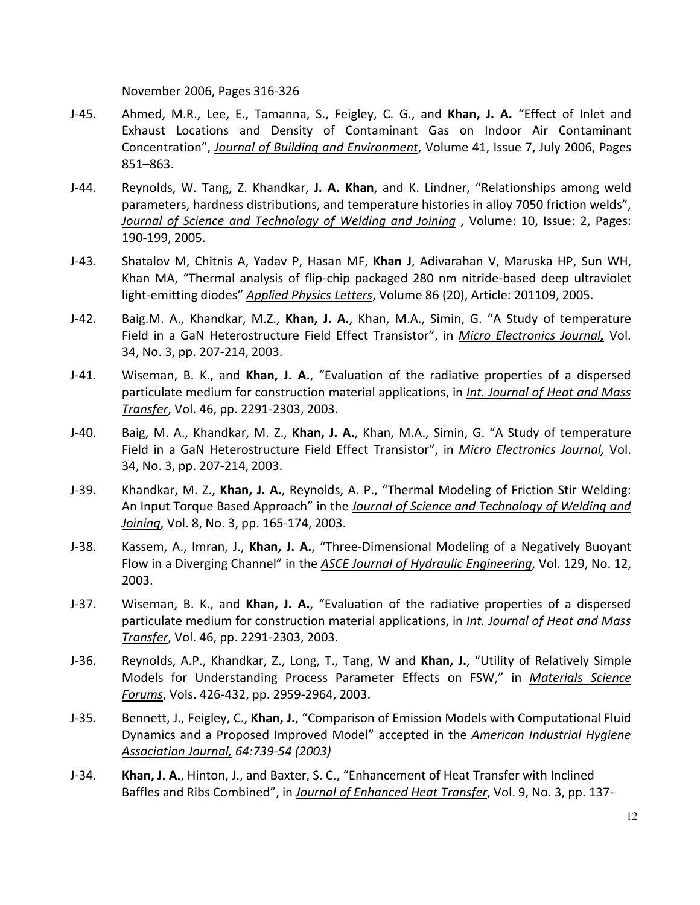November 2006, Pages 316-326

- J-45. Ahmed, M.R., Lee, E., Tamanna, S., Feigley, C. G., and **Khan, J. A.** "Effect of Inlet and Exhaust Locations and Density of Contaminant Gas on Indoor Air Contaminant Concentration", *Journal of Building and Environment*, Volume 41, Issue 7, July 2006, Pages 851–863.
- J-44. Reynolds, W. Tang, Z. Khandkar, **J. A. Khan**, and K. Lindner, "Relationships among weld parameters, hardness distributions, and temperature histories in alloy 7050 friction welds", *Journal of Science and Technology of Welding and Joining* , Volume: 10, Issue: 2, Pages: 190-199, 2005.
- J-43. [Shatalov M,](http://apps.isiknowledge.com/OneClickSearch.do?product=UA&search_mode=OneClickSearch&db_id&SID=1D2IK2aLn4MAc%40GEhAJ&field=AU&value=Shatalov%20M&ut=000229398000009&pos=1) [Chitnis A,](http://apps.isiknowledge.com/OneClickSearch.do?product=UA&search_mode=OneClickSearch&db_id&SID=1D2IK2aLn4MAc%40GEhAJ&field=AU&value=Chitnis%20A&ut=000229398000009&pos=2) [Yadav P,](http://apps.isiknowledge.com/OneClickSearch.do?product=UA&search_mode=OneClickSearch&db_id&SID=1D2IK2aLn4MAc%40GEhAJ&field=AU&value=Yadav%20P&ut=000229398000009&pos=3) [Hasan MF,](http://apps.isiknowledge.com/OneClickSearch.do?product=UA&search_mode=OneClickSearch&db_id&SID=1D2IK2aLn4MAc%40GEhAJ&field=AU&value=Hasan%20MF&ut=000229398000009&pos=4) **[Khan J](http://apps.isiknowledge.com/OneClickSearch.do?product=UA&search_mode=OneClickSearch&db_id&SID=1D2IK2aLn4MAc%40GEhAJ&field=AU&value=Khan%20J&ut=000229398000009&pos=5)**, [Adivarahan V,](http://apps.isiknowledge.com/OneClickSearch.do?product=UA&search_mode=OneClickSearch&db_id&SID=1D2IK2aLn4MAc%40GEhAJ&field=AU&value=Adivarahan%20V&ut=000229398000009&pos=6) [Maruska HP,](http://apps.isiknowledge.com/OneClickSearch.do?product=UA&search_mode=OneClickSearch&db_id&SID=1D2IK2aLn4MAc%40GEhAJ&field=AU&value=Maruska%20HP&ut=000229398000009&pos=7) [Sun WH,](http://apps.isiknowledge.com/OneClickSearch.do?product=UA&search_mode=OneClickSearch&db_id&SID=1D2IK2aLn4MAc%40GEhAJ&field=AU&value=Sun%20WH&ut=000229398000009&pos=8) [Khan MA,](http://apps.isiknowledge.com/OneClickSearch.do?product=UA&search_mode=OneClickSearch&db_id&SID=1D2IK2aLn4MAc%40GEhAJ&field=AU&value=Khan%20MA&ut=000229398000009&pos=9) "Thermal analysis of flip-chip packaged 280 nm nitride-based deep ultraviolet light-emitting diodes" *Applied Physics Letters*, Volume 86 (20), Article: 201109, 2005.
- J-42. Baig.M. A., Khandkar, M.Z., **Khan, J. A.**, Khan, M.A., Simin, G. "A Study of temperature Field in a GaN Heterostructure Field Effect Transistor", in *Micro Electronics Journal,* Vol. 34, No. 3, pp. 207-214, 2003.
- J-41. Wiseman, B. K., and **Khan, J. A.**, "Evaluation of the radiative properties of a dispersed particulate medium for construction material applications, in *Int. Journal of Heat and Mass Transfer*, Vol. 46, pp. 2291-2303, 2003.
- J-40. Baig, M. A., Khandkar, M. Z., **Khan, J. A.**, Khan, M.A., Simin, G. "A Study of temperature Field in a GaN Heterostructure Field Effect Transistor", in *Micro Electronics Journal,* Vol. 34, No. 3, pp. 207-214, 2003.
- J-39. Khandkar, M. Z., **Khan, J. A.**, Reynolds, A. P., "Thermal Modeling of Friction Stir Welding: An Input Torque Based Approach" in the *Journal of Science and Technology of Welding and Joining*, Vol. 8, No. 3, pp. 165-174, 2003.
- J-38. Kassem, A., Imran, J., **Khan, J. A.**, "Three-Dimensional Modeling of a Negatively Buoyant Flow in a Diverging Channel" in the *ASCE Journal of Hydraulic Engineering*, Vol. 129, No. 12, 2003.
- J-37. Wiseman, B. K., and **Khan, J. A.**, "Evaluation of the radiative properties of a dispersed particulate medium for construction material applications, in *Int. Journal of Heat and Mass Transfer*, Vol. 46, pp. 2291-2303, 2003.
- J-36. Reynolds, A.P., Khandkar, Z., Long, T., Tang, W and **Khan, J.**, "Utility of Relatively Simple Models for Understanding Process Parameter Effects on FSW," in *Materials Science Forums*, Vols. 426-432, pp. 2959-2964, 2003.
- J-35. Bennett, J., Feigley, C., **Khan, J.**, "Comparison of Emission Models with Computational Fluid Dynamics and a Proposed Improved Model" accepted in the *American Industrial Hygiene Association Journal, 64:739-54 (2003)*
- J-34. **Khan, J. A.**, Hinton, J., and Baxter, S. C., "Enhancement of Heat Transfer with Inclined Baffles and Ribs Combined", in *Journal of Enhanced Heat Transfer*, Vol. 9, No. 3, pp. 137-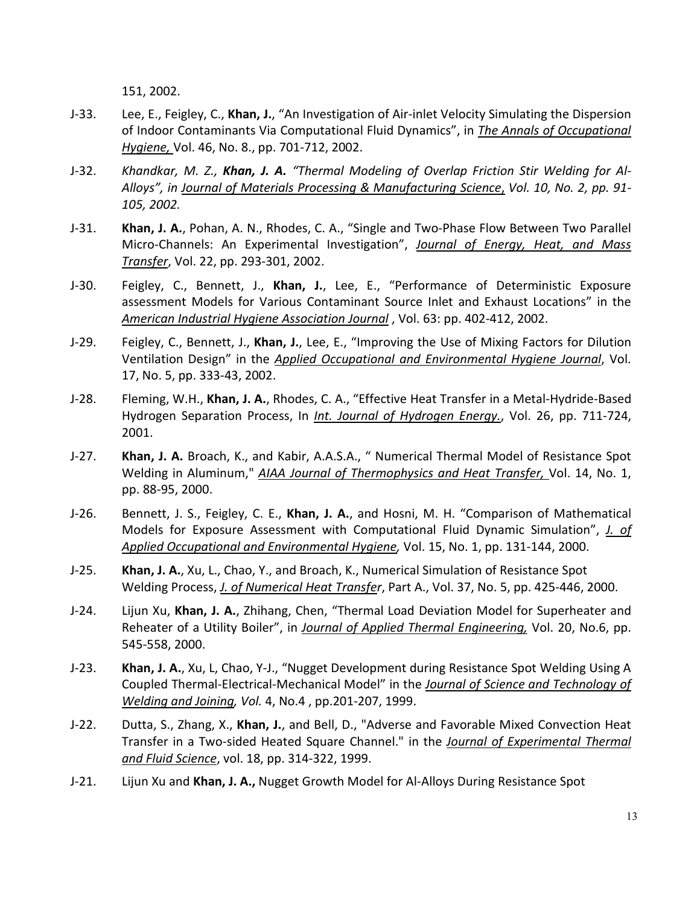151, 2002.

- J-33. Lee, E., Feigley, C., **Khan, J.**, "An Investigation of Air-inlet Velocity Simulating the Dispersion of Indoor Contaminants Via Computational Fluid Dynamics", in *The Annals of Occupational Hygiene,* Vol. 46, No. 8., pp. 701-712, 2002.
- J-32. *Khandkar, M. Z., Khan, J. A. "Thermal Modeling of Overlap Friction Stir Welding for Al-Alloys", in Journal of Materials Processing & Manufacturing Science*, *Vol. 10, No. 2, pp. 91- 105, 2002.*
- J-31. **Khan, J. A.**, Pohan, A. N., Rhodes, C. A., "Single and Two-Phase Flow Between Two Parallel Micro-Channels: An Experimental Investigation", *Journal of Energy, Heat, and Mass Transfer*, Vol. 22, pp. 293-301, 2002.
- J-30. Feigley, C., Bennett, J., **Khan, J.**, Lee, E., "Performance of Deterministic Exposure assessment Models for Various Contaminant Source Inlet and Exhaust Locations" in the *American Industrial Hygiene Association Journal* , Vol. 63: pp. 402-412, 2002.
- J-29. Feigley, C., Bennett, J., **Khan, J.**, Lee, E., "Improving the Use of Mixing Factors for Dilution Ventilation Design" in the *Applied Occupational and Environmental Hygiene Journal*, Vol. 17, No. 5, pp. 333-43, 2002.
- J-28. Fleming, W.H., **Khan, J. A.**, Rhodes, C. A., "Effective Heat Transfer in a Metal-Hydride-Based Hydrogen Separation Process, In *Int. Journal of Hydrogen Energy.*, Vol. 26, pp. 711-724, 2001.
- J-27. **Khan, J. A.** Broach, K., and Kabir, A.A.S.A., " Numerical Thermal Model of Resistance Spot Welding in Aluminum," *AIAA Journal of Thermophysics and Heat Transfer*, Vol. 14, No. 1, pp. 88-95, 2000.
- J-26. Bennett, J. S., Feigley, C. E., **Khan, J. A.**, and Hosni, M. H. "Comparison of Mathematical Models for Exposure Assessment with Computational Fluid Dynamic Simulation", *J. of Applied Occupational and Environmental Hygiene,* Vol. 15, No. 1, pp. 131-144, 2000.
- J-25. **Khan, J. A.**, Xu, L., Chao, Y., and Broach, K., Numerical Simulation of Resistance Spot Welding Process, *J. of Numerical Heat Transfer*, Part A., Vol. 37, No. 5, pp. 425-446, 2000.
- J-24. Lijun Xu, **Khan, J. A.**, Zhihang, Chen, "Thermal Load Deviation Model for Superheater and Reheater of a Utility Boiler", in *Journal of Applied Thermal Engineering,* Vol. 20, No.6, pp. 545-558, 2000.
- J-23. **Khan, J. A.**, Xu, L, Chao, Y-J., "Nugget Development during Resistance Spot Welding Using A Coupled Thermal-Electrical-Mechanical Model" in the *Journal of Science and Technology of Welding and Joining, Vol.* 4, No.4 , pp.201-207, 1999.
- J-22. Dutta, S., Zhang, X., **Khan, J.**, and Bell, D., "Adverse and Favorable Mixed Convection Heat Transfer in a Two-sided Heated Square Channel." in the *Journal of Experimental Thermal and Fluid Science*, vol. 18, pp. 314-322, 1999.
- J-21. Lijun Xu and **Khan, J. A.,** Nugget Growth Model for Al-Alloys During Resistance Spot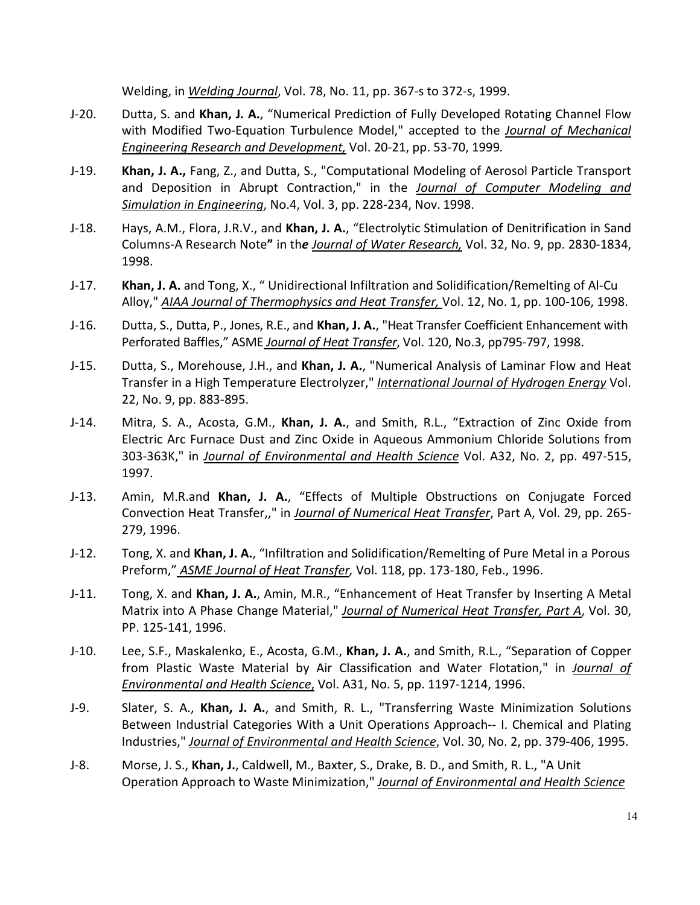Welding, in *Welding Journal*, Vol. 78, No. 11, pp. 367-s to 372-s, 1999.

- J-20. Dutta, S. and **Khan, J. A.**, "Numerical Prediction of Fully Developed Rotating Channel Flow with Modified Two-Equation Turbulence Model," accepted to the *Journal of Mechanical Engineering Research and Development,* Vol. 20-21, pp. 53-70, 1999*.*
- J-19. **Khan, J. A.,** Fang, Z., and Dutta, S., "Computational Modeling of Aerosol Particle Transport and Deposition in Abrupt Contraction," in the *Journal of Computer Modeling and Simulation in Engineering*, No.4, Vol. 3, pp. 228-234, Nov. 1998.
- J-18. Hays, A.M., Flora, J.R.V., and **Khan, J. A.**, "Electrolytic Stimulation of Denitrification in Sand Columns-A Research Note**"** in th*e Journal of Water Research,* Vol. 32, No. 9, pp. 2830-1834, 1998.
- J-17. **Khan, J. A.** and Tong, X., " Unidirectional Infiltration and Solidification/Remelting of Al-Cu Alloy," *AIAA Journal of Thermophysics and Heat Transfer,* Vol. 12, No. 1, pp. 100-106, 1998.
- J-16. Dutta, S., Dutta, P., Jones, R.E., and **Khan, J. A.**, "Heat Transfer Coefficient Enhancement with Perforated Baffles," ASME *Journal of Heat Transfer*, Vol. 120, No.3, pp795-797, 1998.
- J-15. Dutta, S., Morehouse, J.H., and **Khan, J. A.**, "Numerical Analysis of Laminar Flow and Heat Transfer in a High Temperature Electrolyzer," *International Journal of Hydrogen Energy* Vol. 22, No. 9, pp. 883-895.
- J-14. Mitra, S. A., Acosta, G.M., **Khan, J. A.**, and Smith, R.L., "Extraction of Zinc Oxide from Electric Arc Furnace Dust and Zinc Oxide in Aqueous Ammonium Chloride Solutions from 303-363K," in *Journal of Environmental and Health Science* Vol. A32, No. 2, pp. 497-515, 1997.
- J-13. Amin, M.R.and **Khan, J. A.**, "Effects of Multiple Obstructions on Conjugate Forced Convection Heat Transfer,," in *Journal of Numerical Heat Transfer*, Part A, Vol. 29, pp. 265- 279, 1996.
- J-12. Tong, X. and **Khan, J. A.**, "Infiltration and Solidification/Remelting of Pure Metal in a Porous Preform," *ASME Journal of Heat Transfer,* Vol. 118, pp. 173-180, Feb., 1996.
- J-11. Tong, X. and **Khan, J. A.**, Amin, M.R., "Enhancement of Heat Transfer by Inserting A Metal Matrix into A Phase Change Material," *Journal of Numerical Heat Transfer, Part A*, Vol. 30, PP. 125-141, 1996.
- J-10. Lee, S.F., Maskalenko, E., Acosta, G.M., **Khan, J. A.**, and Smith, R.L., "Separation of Copper from Plastic Waste Material by Air Classification and Water Flotation," in *Journal of Environmental and Health Science*, Vol. A31, No. 5, pp. 1197-1214, 1996.
- J-9. Slater, S. A., **Khan, J. A.**, and Smith, R. L., "Transferring Waste Minimization Solutions Between Industrial Categories With a Unit Operations Approach-- I. Chemical and Plating Industries," *Journal of Environmental and Health Science*, Vol. 30, No. 2, pp. 379-406, 1995.
- J-8. Morse, J. S., **Khan, J.**, Caldwell, M., Baxter, S., Drake, B. D., and Smith, R. L., "A Unit Operation Approach to Waste Minimization," *Journal of Environmental and Health Science*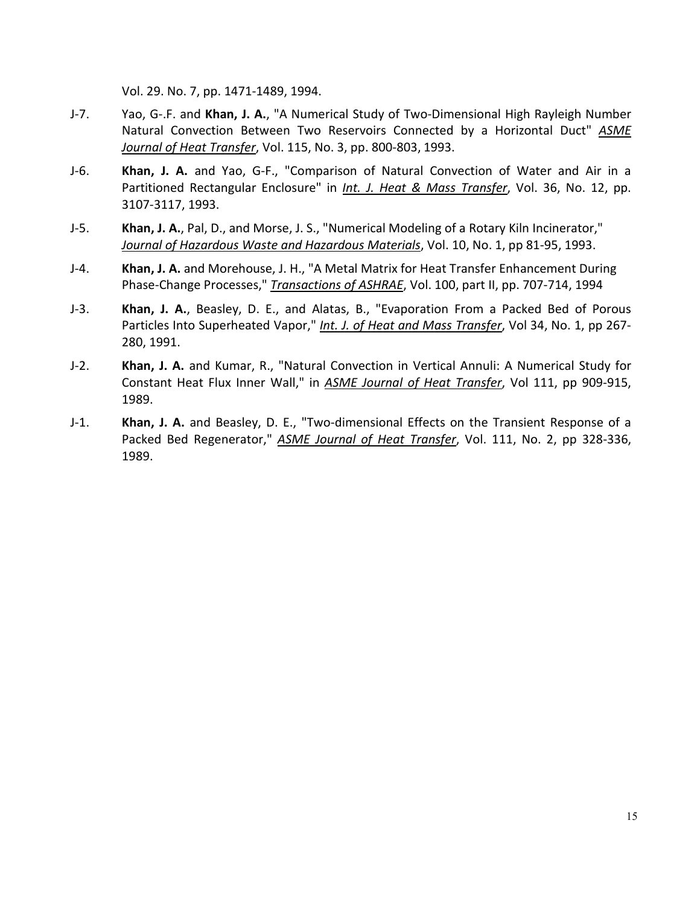Vol. 29. No. 7, pp. 1471-1489, 1994.

- J-7. Yao, G-.F. and **Khan, J. A.**, "A Numerical Study of Two-Dimensional High Rayleigh Number Natural Convection Between Two Reservoirs Connected by a Horizontal Duct" *ASME Journal of Heat Transfer*, Vol. 115, No. 3, pp. 800-803, 1993.
- J-6. **Khan, J. A.** and Yao, G-F., "Comparison of Natural Convection of Water and Air in a Partitioned Rectangular Enclosure" in *Int. J. Heat & Mass Transfer*, Vol. 36, No. 12, pp. 3107-3117, 1993.
- J-5. **Khan, J. A.**, Pal, D., and Morse, J. S., "Numerical Modeling of a Rotary Kiln Incinerator," *Journal of Hazardous Waste and Hazardous Materials*, Vol. 10, No. 1, pp 81-95, 1993.
- J-4. **Khan, J. A.** and Morehouse, J. H., "A Metal Matrix for Heat Transfer Enhancement During Phase-Change Processes," *Transactions of ASHRAE*, Vol. 100, part II, pp. 707-714, 1994
- J-3. **Khan, J. A.**, Beasley, D. E., and Alatas, B., "Evaporation From a Packed Bed of Porous Particles Into Superheated Vapor," *Int. J. of Heat and Mass Transfer*, Vol 34, No. 1, pp 267- 280, 1991.
- J-2. **Khan, J. A.** and Kumar, R., "Natural Convection in Vertical Annuli: A Numerical Study for Constant Heat Flux Inner Wall," in *ASME Journal of Heat Transfer*, Vol 111, pp 909-915, 1989.
- J-1. **Khan, J. A.** and Beasley, D. E., "Two-dimensional Effects on the Transient Response of a Packed Bed Regenerator," *ASME Journal of Heat Transfer*, Vol. 111, No. 2, pp 328-336, 1989.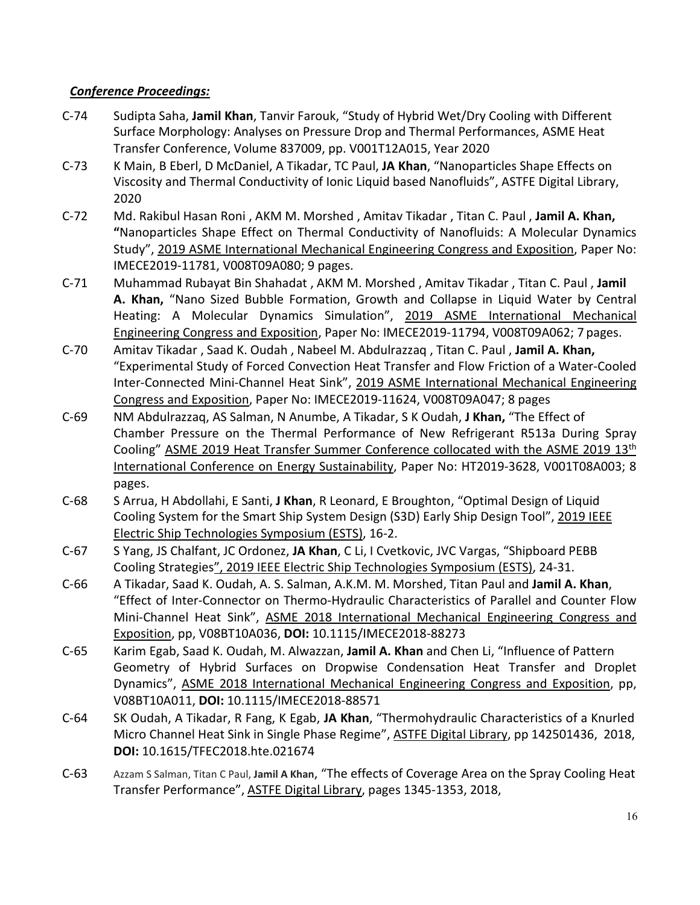# *Conference Proceedings:*

- C-74 Sudipta Saha, **Jamil Khan**, Tanvir Farouk, "Study of Hybrid Wet/Dry Cooling with Different Surface Morphology: Analyses on Pressure Drop and Thermal Performances, ASME Heat Transfer Conference, Volume 837009, pp. V001T12A015, Year 2020
- C-73 K Main, B Eberl, D McDaniel, A Tikadar, TC Paul, **JA Khan**, "Nanoparticles Shape Effects on Viscosity and Thermal Conductivity of Ionic Liquid based Nanofluids", ASTFE Digital Library, 2020
- C-72 Md. Rakibul Hasan Roni , AKM M. Morshed , Amitav Tikadar , Titan C. Paul , **Jamil A. Khan, "**Nanoparticles Shape Effect on Thermal Conductivity of Nanofluids: A Molecular Dynamics Study", 2019 ASME International Mechanical Engineering Congress and Exposition, Paper No: IMECE2019-11781, V008T09A080; 9 pages.
- C-71 Muhammad Rubayat Bin Shahadat , AKM M. Morshed , Amitav Tikadar , Titan C. Paul , **Jamil A. Khan,** "Nano Sized Bubble Formation, Growth and Collapse in Liquid Water by Central Heating: A Molecular Dynamics Simulation", 2019 ASME International Mechanical Engineering Congress and Exposition, Paper No: IMECE2019-11794, V008T09A062; 7 pages.
- C-70 Amitav Tikadar , Saad K. Oudah , Nabeel M. Abdulrazzaq , Titan C. Paul , **Jamil A. Khan,** "Experimental Study of Forced Convection Heat Transfer and Flow Friction of a Water-Cooled Inter-Connected Mini-Channel Heat Sink", 2019 ASME International Mechanical Engineering Congress and Exposition, Paper No: IMECE2019-11624, V008T09A047; 8 pages
- C-69 NM Abdulrazzaq, AS Salman, N Anumbe, A Tikadar, S K Oudah, **J Khan,** "The Effect of Chamber Pressure on the Thermal Performance of New Refrigerant R513a During Spray Cooling" ASME 2019 Heat Transfer Summer Conference collocated with the ASME 2019 13th International Conference on Energy Sustainability, Paper No: HT2019-3628, V001T08A003; 8 pages.
- C-68 S Arrua, H Abdollahi, E Santi, **J Khan**, R Leonard, E Broughton, "Optimal Design of Liquid Cooling System for the Smart Ship System Design (S3D) Early Ship Design Tool", 2019 IEEE Electric Ship Technologies Symposium (ESTS), 16-2.
- C-67 S Yang, JS Chalfant, JC Ordonez, **JA Khan**, C Li, I Cvetkovic, JVC Vargas, "Shipboard PEBB Cooling Strategies", 2019 IEEE Electric Ship Technologies Symposium (ESTS), 24-31.
- C-66 A Tikadar, Saad K. Oudah, A. S. Salman, A.K.M. M. Morshed, Titan Paul and **Jamil A. Khan**, "Effect of Inter-Connector on Thermo-Hydraulic Characteristics of Parallel and Counter Flow Mini-Channel Heat Sink", ASME 2018 International Mechanical Engineering Congress and Exposition, pp, V08BT10A036, **DOI:** 10.1115/IMECE2018-88273
- C-65 Karim Egab, Saad K. Oudah, M. Alwazzan, **Jamil A. Khan** and Chen Li, "Influence of Pattern Geometry of Hybrid Surfaces on Dropwise Condensation Heat Transfer and Droplet Dynamics", ASME 2018 International Mechanical Engineering Congress and Exposition, pp, V08BT10A011, **DOI:** 10.1115/IMECE2018-88571
- C-64 SK Oudah, A Tikadar, R Fang, K Egab, **JA Khan**, "Thermohydraulic Characteristics of a Knurled Micro Channel Heat Sink in Single Phase Regime", ASTFE Digital Library, pp 142501436, 2018, **DOI:** [10.1615/TFEC2018.hte.021674](http://dx.doi.org/10.1615/TFEC2018.hte.021674)
- C-63 Azzam S Salman, Titan C Paul, **Jamil A Khan**, "The effects of Coverage Area on the Spray Cooling Heat Transfer Performance", ASTFE Digital Library, pages 1345-1353, 2018,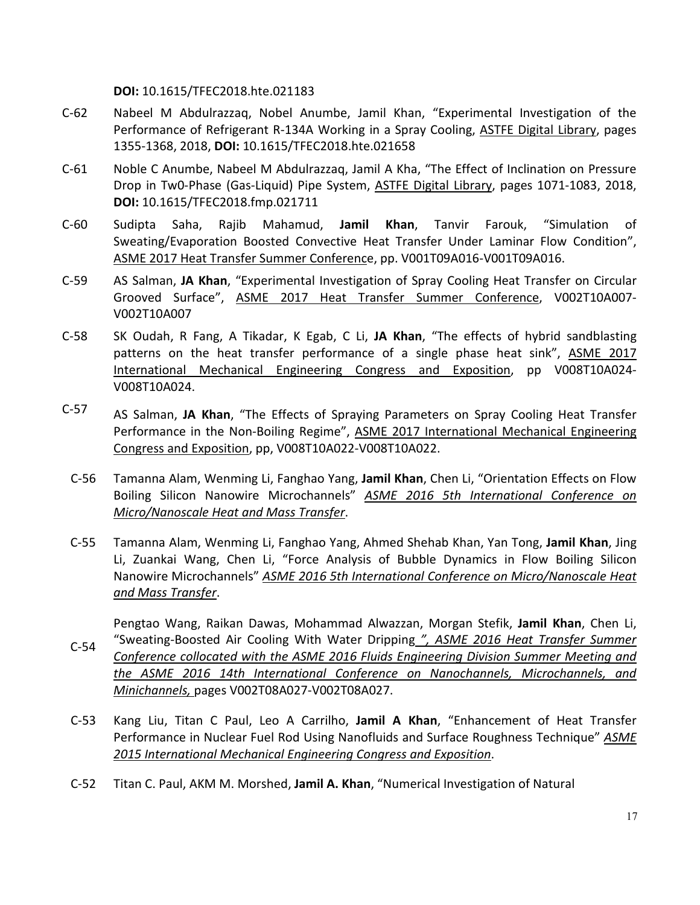**DOI:** [10.1615/TFEC2018.hte.021183](http://dx.doi.org/10.1615/TFEC2018.hte.021183)

- C-62 Nabeel M Abdulrazzaq, Nobel Anumbe, Jamil Khan, "Experimental Investigation of the Performance of Refrigerant R-134A Working in a Spray Cooling, ASTFE Digital Library, pages 1355-1368, 2018, **DOI:** [10.1615/TFEC2018.hte.021658](http://dx.doi.org/10.1615/TFEC2018.hte.021658)
- C-61 Noble C Anumbe, Nabeel M Abdulrazzaq, Jamil A Kha, "The Effect of Inclination on Pressure Drop in Tw0-Phase (Gas-Liquid) Pipe System, ASTFE Digital Library, pages 1071-1083, 2018, **DOI:** [10.1615/TFEC2018.fmp.021711](http://dx.doi.org/10.1615/TFEC2018.fmp.021711)
- C-60 Sudipta Saha, Rajib Mahamud, **Jamil Khan**, Tanvir Farouk, "Simulation of Sweating/Evaporation Boosted Convective Heat Transfer Under Laminar Flow Condition", ASME 2017 Heat Transfer Summer Conference, pp. V001T09A016-V001T09A016.
- C-59 AS Salman, **JA Khan**, "Experimental Investigation of Spray Cooling Heat Transfer on Circular Grooved Surface", ASME 2017 Heat Transfer Summer Conference, V002T10A007- V002T10A007
- C-58 SK Oudah, R Fang, A Tikadar, K Egab, C Li, **JA Khan**, "The effects of hybrid sandblasting patterns on the heat transfer performance of a single phase heat sink", ASME 2017 International Mechanical Engineering Congress and Exposition, pp V008T10A024- V008T10A024.
- C-57 AS Salman, **JA Khan**, "The Effects of Spraying Parameters on Spray Cooling Heat Transfer Performance in the Non-Boiling Regime", ASME 2017 International Mechanical Engineering Congress and Exposition, pp, V008T10A022-V008T10A022.
	- C-56 Tamanna Alam, Wenming Li, Fanghao Yang, **Jamil Khan**, Chen Li, "Orientation Effects on Flow Boiling Silicon Nanowire Microchannels" *ASME 2016 5th International Conference on Micro/Nanoscale Heat and Mass Transfer*.
	- C-55 Tamanna Alam, Wenming Li, Fanghao Yang, Ahmed Shehab Khan, Yan Tong, **Jamil Khan**, Jing Li, Zuankai Wang, Chen Li, "Force Analysis of Bubble Dynamics in Flow Boiling Silicon Nanowire Microchannels" *ASME 2016 5th International Conference on Micro/Nanoscale Heat and Mass Transfer*.

C-54 Pengtao Wang, Raikan Dawas, Mohammad Alwazzan, Morgan Stefik, **Jamil Khan**, Chen Li, "Sweating-Boosted Air Cooling With Water Dripping *", ASME 2016 Heat Transfer Summer Conference collocated with the ASME 2016 Fluids Engineering Division Summer Meeting and the ASME 2016 14th International Conference on Nanochannels, Microchannels, and Minichannels,* pages V002T08A027-V002T08A027.

- C-53 Kang Liu, Titan C Paul, Leo A Carrilho, **Jamil A Khan**, "Enhancement of Heat Transfer Performance in Nuclear Fuel Rod Using Nanofluids and Surface Roughness Technique" *ASME 2015 International Mechanical Engineering Congress and Exposition*.
- C-52 Titan C. Paul, AKM M. Morshed, **Jamil A. Khan**, "Numerical Investigation of Natural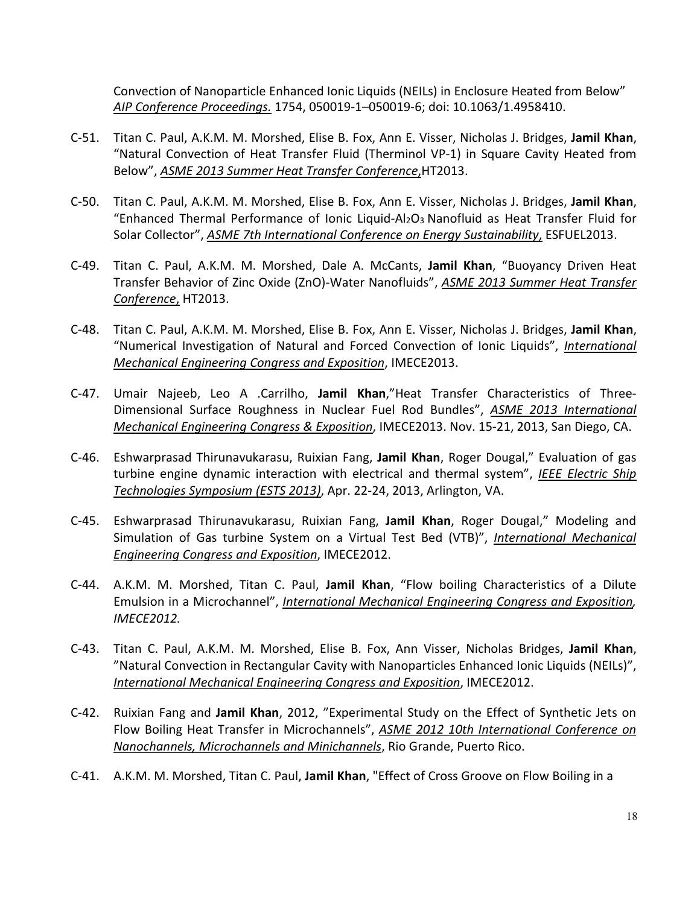Convection of Nanoparticle Enhanced Ionic Liquids (NEILs) in Enclosure Heated from Below" *AIP Conference Proceedings.* 1754, 050019-1–050019-6; doi: 10.1063/1.4958410.

- C-51. Titan C. Paul, A.K.M. M. Morshed, Elise B. Fox, Ann E. Visser, Nicholas J. Bridges, **Jamil Khan**, "Natural Convection of Heat Transfer Fluid (Therminol VP-1) in Square Cavity Heated from Below", *ASME 2013 Summer Heat Transfer Conference*,HT2013.
- C-50. Titan C. Paul, A.K.M. M. Morshed, Elise B. Fox, Ann E. Visser, Nicholas J. Bridges, **Jamil Khan**, "Enhanced Thermal Performance of Ionic Liquid-Al<sub>2</sub>O<sub>3</sub> Nanofluid as Heat Transfer Fluid for Solar Collector", *ASME 7th International Conference on Energy Sustainability*, ESFUEL2013.
- C-49. Titan C. Paul, A.K.M. M. Morshed, Dale A. McCants, **Jamil Khan**, "Buoyancy Driven Heat Transfer Behavior of Zinc Oxide (ZnO)-Water Nanofluids", *ASME 2013 Summer Heat Transfer Conference*, HT2013.
- C-48. Titan C. Paul, A.K.M. M. Morshed, Elise B. Fox, Ann E. Visser, Nicholas J. Bridges, **Jamil Khan**, "Numerical Investigation of Natural and Forced Convection of Ionic Liquids", *International Mechanical Engineering Congress and Exposition*, IMECE2013.
- C-47. Umair Najeeb, Leo A .Carrilho, **Jamil Khan**,"Heat Transfer Characteristics of Three-Dimensional Surface Roughness in Nuclear Fuel Rod Bundles", *ASME 2013 International Mechanical Engineering Congress & Exposition*, IMECE2013. Nov. 15-21, 2013, San Diego, CA.
- C-46. Eshwarprasad Thirunavukarasu, Ruixian Fang, **Jamil Khan**, Roger Dougal," Evaluation of gas turbine engine dynamic interaction with electrical and thermal system", *IEEE Electric Ship Technologies Symposium (ESTS 2013)*, Apr. 22-24, 2013, Arlington, VA.
- C-45. Eshwarprasad Thirunavukarasu, Ruixian Fang, **Jamil Khan**, Roger Dougal," Modeling and Simulation of Gas turbine System on a Virtual Test Bed (VTB)", *International Mechanical Engineering Congress and Exposition*, IMECE2012.
- C-44. A.K.M. M. Morshed, Titan C. Paul, **Jamil Khan**, "Flow boiling Characteristics of a Dilute Emulsion in a Microchannel", *International Mechanical Engineering Congress and Exposition, IMECE2012.*
- C-43. Titan C. Paul, A.K.M. M. Morshed, Elise B. Fox, Ann Visser, Nicholas Bridges, **Jamil Khan**, "Natural Convection in Rectangular Cavity with Nanoparticles Enhanced Ionic Liquids (NEILs)", *International Mechanical Engineering Congress and Exposition*, IMECE2012.
- C-42. Ruixian Fang and **Jamil Khan**, 2012, "Experimental Study on the Effect of Synthetic Jets on Flow Boiling Heat Transfer in Microchannels", *ASME 2012 10th International Conference on Nanochannels, Microchannels and Minichannels*, Rio Grande, Puerto Rico.
- C-41. A.K.M. M. Morshed, Titan C. Paul, **Jamil Khan**, "Effect of Cross Groove on Flow Boiling in a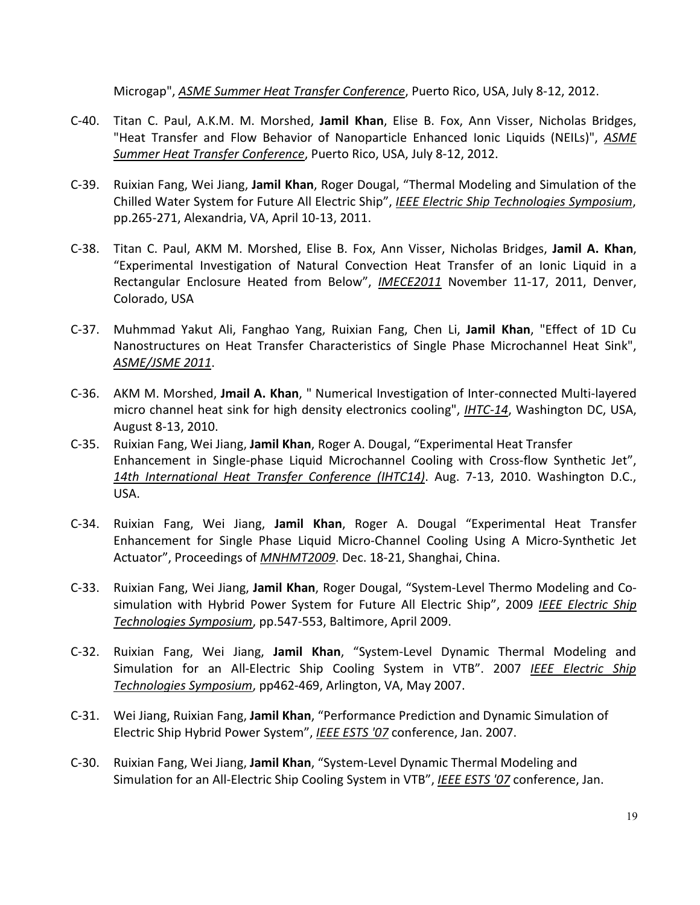Microgap", *ASME Summer Heat Transfer Conference*, Puerto Rico, USA, July 8-12, 2012.

- C-40. Titan C. Paul, A.K.M. M. Morshed, **Jamil Khan**, Elise B. Fox, Ann Visser, Nicholas Bridges, "Heat Transfer and Flow Behavior of Nanoparticle Enhanced Ionic Liquids (NEILs)", *ASME Summer Heat Transfer Conference*, Puerto Rico, USA, July 8-12, 2012.
- C-39. Ruixian Fang, Wei Jiang, **Jamil Khan**, Roger Dougal, "Thermal Modeling and Simulation of the Chilled Water System for Future All Electric Ship", *IEEE Electric Ship Technologies Symposium*, pp.265-271, Alexandria, VA, April 10-13, 2011.
- C-38. Titan C. Paul, AKM M. Morshed, Elise B. Fox, Ann Visser, Nicholas Bridges, **Jamil A. Khan**, "Experimental Investigation of Natural Convection Heat Transfer of an Ionic Liquid in a Rectangular Enclosure Heated from Below", *IMECE2011* November 11-17, 2011, Denver, Colorado, USA
- C-37. Muhmmad Yakut Ali, Fanghao Yang, Ruixian Fang, Chen Li, **Jamil Khan**, "Effect of 1D Cu Nanostructures on Heat Transfer Characteristics of Single Phase Microchannel Heat Sink", *ASME/JSME 2011*.
- C-36. AKM M. Morshed, **Jmail A. Khan**, " Numerical Investigation of Inter-connected Multi-layered micro channel heat sink for high density electronics cooling", *IHTC-14*, Washington DC, USA, August 8-13, 2010.
- C-35. Ruixian Fang, Wei Jiang, **Jamil Khan**, Roger A. Dougal, "Experimental Heat Transfer Enhancement in Single-phase Liquid Microchannel Cooling with Cross-flow Synthetic Jet", *14th International Heat Transfer Conference (IHTC14)*. Aug. 7-13, 2010. Washington D.C., USA.
- C-34. Ruixian Fang, Wei Jiang, **Jamil Khan**, Roger A. Dougal "Experimental Heat Transfer Enhancement for Single Phase Liquid Micro-Channel Cooling Using A Micro-Synthetic Jet Actuator", Proceedings of *MNHMT2009*. Dec. 18-21, Shanghai, China.
- C-33. Ruixian Fang, Wei Jiang, **Jamil Khan**, Roger Dougal, "System-Level Thermo Modeling and Cosimulation with Hybrid Power System for Future All Electric Ship", 2009 *IEEE Electric Ship Technologies Symposium*, pp.547-553, Baltimore, April 2009.
- C-32. Ruixian Fang, Wei Jiang, **Jamil Khan**, "System-Level Dynamic Thermal Modeling and Simulation for an All-Electric Ship Cooling System in VTB". 2007 *IEEE Electric Ship Technologies Symposium*, pp462-469, Arlington, VA, May 2007.
- C-31. Wei Jiang, Ruixian Fang, **Jamil Khan**, "Performance Prediction and Dynamic Simulation of Electric Ship Hybrid Power System", *IEEE ESTS '07* conference, Jan. 2007.
- C-30. Ruixian Fang, Wei Jiang, **Jamil Khan**, "System-Level Dynamic Thermal Modeling and Simulation for an All-Electric Ship Cooling System in VTB", *IEEE ESTS '07* conference, Jan.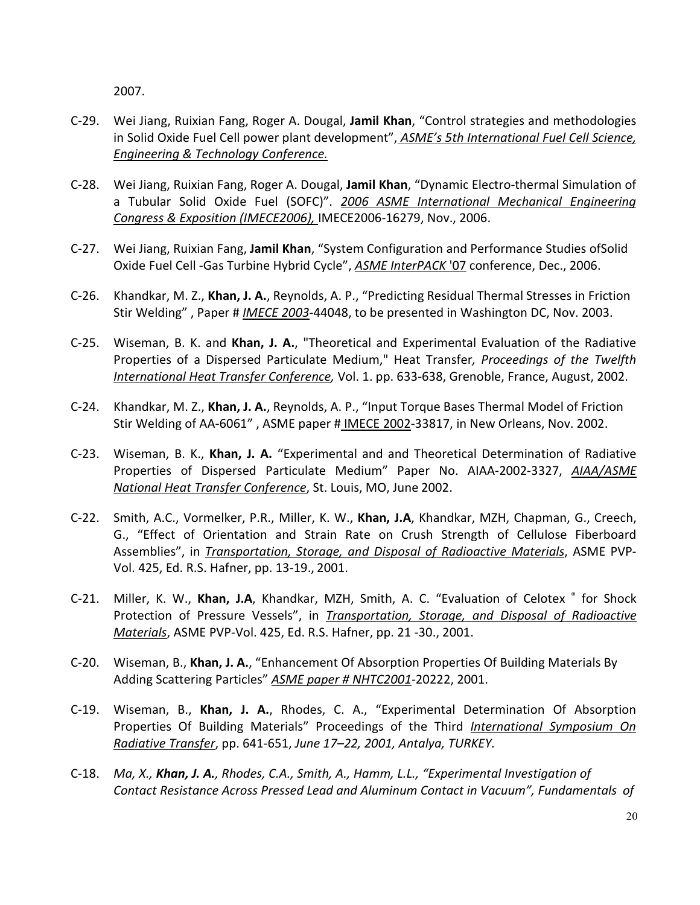2007.

- C-29. Wei Jiang, Ruixian Fang, Roger A. Dougal, **Jamil Khan**, "Control strategies and methodologies in Solid Oxide Fuel Cell power plant development", *ASME's 5th International Fuel Cell Science, Engineering & Technology Conference.*
- C-28. Wei Jiang, Ruixian Fang, Roger A. Dougal, **Jamil Khan**, "Dynamic Electro-thermal Simulation of a Tubular Solid Oxide Fuel (SOFC)". *2006 ASME International Mechanical Engineering Congress & Exposition (IMECE2006),* IMECE2006-16279, Nov., 2006.
- C-27. Wei Jiang, Ruixian Fang, **Jamil Khan**, "System Configuration and Performance Studies ofSolid Oxide Fuel Cell -Gas Turbine Hybrid Cycle", *ASME InterPACK* '07 conference, Dec., 2006.
- C-26. Khandkar, M. Z., **Khan, J. A.**, Reynolds, A. P., "Predicting Residual Thermal Stresses in Friction Stir Welding" , Paper # *IMECE 2003*-44048, to be presented in Washington DC, Nov. 2003.
- C-25. Wiseman, B. K. and **Khan, J. A.**, "Theoretical and Experimental Evaluation of the Radiative Properties of a Dispersed Particulate Medium," Heat Transfer*, Proceedings of the Twelfth International Heat Transfer Conference,* Vol. 1. pp. 633-638, Grenoble, France, August, 2002.
- C-24. Khandkar, M. Z., **Khan, J. A.**, Reynolds, A. P., "Input Torque Bases Thermal Model of Friction Stir Welding of AA-6061" , ASME paper # IMECE 2002-33817, in New Orleans, Nov. 2002.
- C-23. Wiseman, B. K., **Khan, J. A.** "Experimental and and Theoretical Determination of Radiative Properties of Dispersed Particulate Medium" Paper No. AIAA-2002-3327, *AIAA/ASME National Heat Transfer Conference*, St. Louis, MO, June 2002.
- C-22. Smith, A.C., Vormelker, P.R., Miller, K. W., **Khan, J.A**, Khandkar, MZH, Chapman, G., Creech, G., "Effect of Orientation and Strain Rate on Crush Strength of Cellulose Fiberboard Assemblies", in *Transportation, Storage, and Disposal of Radioactive Materials*, ASME PVP-Vol. 425, Ed. R.S. Hafner, pp. 13-19., 2001.
- C-21. Miller, K. W., **Khan, J.A**, Khandkar, MZH, Smith, A. C. "Evaluation of Celotex ® for Shock Protection of Pressure Vessels", in *Transportation, Storage, and Disposal of Radioactive Materials*, ASME PVP-Vol. 425, Ed. R.S. Hafner, pp. 21 -30., 2001.
- C-20. Wiseman, B., **Khan, J. A.**, "Enhancement Of Absorption Properties Of Building Materials By Adding Scattering Particles" *ASME paper # NHTC2001*-20222, 2001.
- C-19. Wiseman, B., **Khan, J. A.**, Rhodes, C. A., "Experimental Determination Of Absorption Properties Of Building Materials" Proceedings of the Third *International Symposium On Radiative Transfer*, pp. 641-651, *June 17–22, 2001, Antalya, TURKEY.*
- C-18. *Ma, X., Khan, J. A., Rhodes, C.A., Smith, A., Hamm, L.L., "Experimental Investigation of Contact Resistance Across Pressed Lead and Aluminum Contact in Vacuum", Fundamentals of*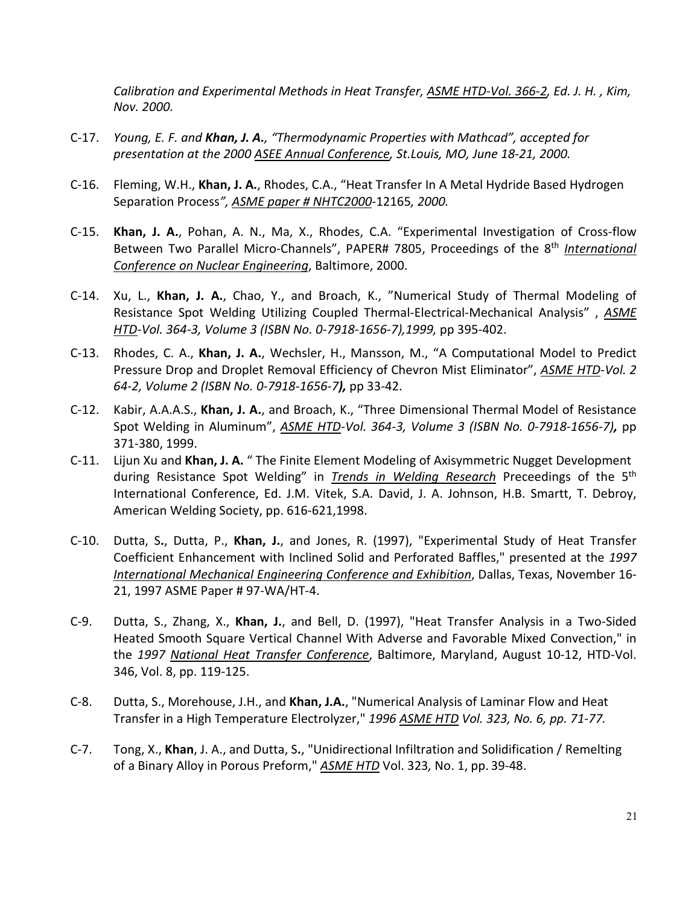*Calibration and Experimental Methods in Heat Transfer, ASME HTD-Vol. 366-2, Ed. J. H. , Kim, Nov. 2000.*

- C-17. *Young, E. F. and Khan, J. A., "Thermodynamic Properties with Mathcad", accepted for presentation at the 2000 ASEE Annual Conference, St.Louis, MO, June 18-21, 2000.*
- C-16. Fleming, W.H., **Khan, J. A.**, Rhodes, C.A., "Heat Transfer In A Metal Hydride Based Hydrogen Separation Process*", ASME paper # NHTC2000*-12165*, 2000.*
- C-15. **Khan, J. A.**, Pohan, A. N., Ma, X., Rhodes, C.A. "Experimental Investigation of Cross-flow Between Two Parallel Micro-Channels", PAPER# 7805, Proceedings of the 8th *International Conference on Nuclear Engineering*, Baltimore, 2000.
- C-14. Xu, L., **Khan, J. A.**, Chao, Y., and Broach, K., "Numerical Study of Thermal Modeling of Resistance Spot Welding Utilizing Coupled Thermal-Electrical-Mechanical Analysis" , *ASME HTD-Vol. 364-3, Volume 3 (ISBN No. 0-7918-1656-7),1999,* pp 395-402.
- C-13. Rhodes, C. A., **Khan, J. A.**, Wechsler, H., Mansson, M., "A Computational Model to Predict Pressure Drop and Droplet Removal Efficiency of Chevron Mist Eliminator", *ASME HTD-Vol. 2 64-2, Volume 2 (ISBN No. 0-7918-1656-7),* pp 33-42.
- C-12. Kabir, A.A.A.S., **Khan, J. A.**, and Broach, K., "Three Dimensional Thermal Model of Resistance Spot Welding in Aluminum", *ASME HTD-Vol. 364-3, Volume 3 (ISBN No. 0-7918-1656-7),* pp 371-380, 1999.
- C-11. Lijun Xu and **Khan, J. A.** " The Finite Element Modeling of Axisymmetric Nugget Development during Resistance Spot Welding" in *Trends in Welding Research* Preceedings of the 5th International Conference, Ed. J.M. Vitek, S.A. David, J. A. Johnson, H.B. Smartt, T. Debroy, American Welding Society, pp. 616-621,1998.
- C-10. Dutta, S**.**, Dutta, P., **Khan, J.**, and Jones, R. (1997), "Experimental Study of Heat Transfer Coefficient Enhancement with Inclined Solid and Perforated Baffles," presented at the *1997 International Mechanical Engineering Conference and Exhibition*, Dallas, Texas, November 16- 21, 1997 ASME Paper # 97-WA/HT-4.
- C-9. Dutta, S., Zhang, X., **Khan, J.**, and Bell, D. (1997), "Heat Transfer Analysis in a Two-Sided Heated Smooth Square Vertical Channel With Adverse and Favorable Mixed Convection," in the *1997 National Heat Transfer Conference*, Baltimore, Maryland, August 10-12, HTD-Vol. 346, Vol. 8, pp. 119-125.
- C-8. Dutta, S., Morehouse, J.H., and **Khan, J.A.**, "Numerical Analysis of Laminar Flow and Heat Transfer in a High Temperature Electrolyzer," *1996 ASME HTD Vol. 323, No. 6, pp. 71-77.*
- C-7. Tong, X., **Khan**, J. A., and Dutta, S**.**, "Unidirectional Infiltration and Solidification / Remelting of a Binary Alloy in Porous Preform," *ASME HTD* Vol. 323*,* No. 1, pp. 39-48.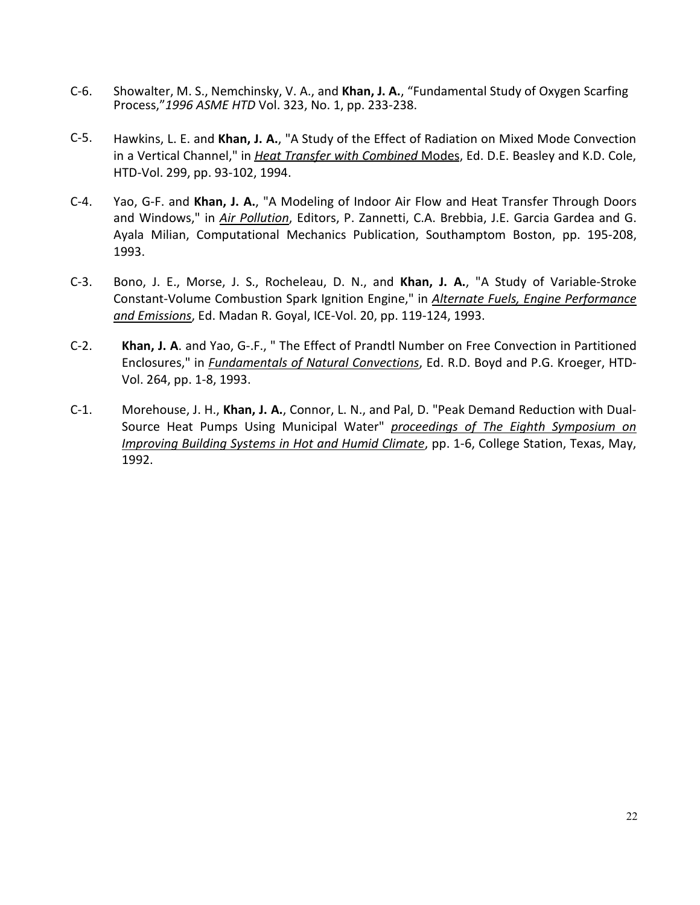- C-6. Showalter, M. S., Nemchinsky, V. A., and **Khan, J. A.**, "Fundamental Study of Oxygen Scarfing Process,"*1996 ASME HTD* Vol. 323, No. 1, pp. 233-238.
- C-5. Hawkins, L. E. and **Khan, J. A.**, "A Study of the Effect of Radiation on Mixed Mode Convection in a Vertical Channel," in *Heat Transfer with Combined* Modes, Ed. D.E. Beasley and K.D. Cole, HTD-Vol. 299, pp. 93-102, 1994.
- C-4. Yao, G-F. and **Khan, J. A.**, "A Modeling of Indoor Air Flow and Heat Transfer Through Doors and Windows," in *Air Pollution*, Editors, P. Zannetti, C.A. Brebbia, J.E. Garcia Gardea and G. Ayala Milian, Computational Mechanics Publication, Southamptom Boston, pp. 195-208, 1993.
- C-3. Bono, J. E., Morse, J. S., Rocheleau, D. N., and **Khan, J. A.**, "A Study of Variable-Stroke Constant-Volume Combustion Spark Ignition Engine," in *Alternate Fuels, Engine Performance and Emissions*, Ed. Madan R. Goyal, ICE-Vol. 20, pp. 119-124, 1993.
- C-2. **Khan, J. A**. and Yao, G-.F., " The Effect of Prandtl Number on Free Convection in Partitioned Enclosures," in *Fundamentals of Natural Convections*, Ed. R.D. Boyd and P.G. Kroeger, HTD-Vol. 264, pp. 1-8, 1993.
- C-1. Morehouse, J. H., **Khan, J. A.**, Connor, L. N., and Pal, D. "Peak Demand Reduction with Dual-Source Heat Pumps Using Municipal Water" *proceedings of The Eighth Symposium on Improving Building Systems in Hot and Humid Climate*, pp. 1-6, College Station, Texas, May, 1992.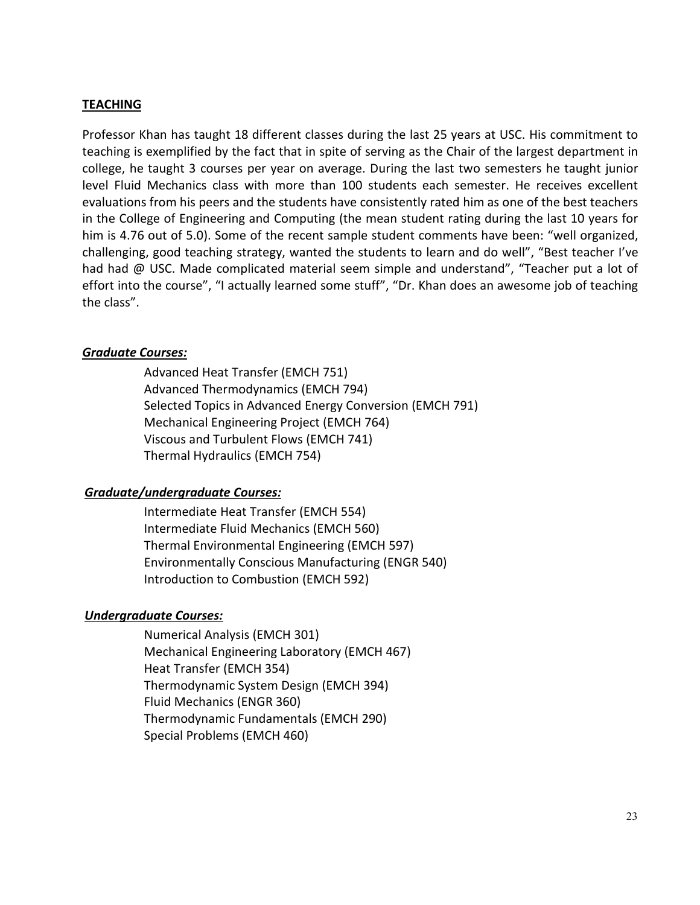#### **TEACHING**

Professor Khan has taught 18 different classes during the last 25 years at USC. His commitment to teaching is exemplified by the fact that in spite of serving as the Chair of the largest department in college, he taught 3 courses per year on average. During the last two semesters he taught junior level Fluid Mechanics class with more than 100 students each semester. He receives excellent evaluations from his peers and the students have consistently rated him as one of the best teachers in the College of Engineering and Computing (the mean student rating during the last 10 years for him is 4.76 out of 5.0). Some of the recent sample student comments have been: "well organized, challenging, good teaching strategy, wanted the students to learn and do well", "Best teacher I've had had @ USC. Made complicated material seem simple and understand", "Teacher put a lot of effort into the course", "I actually learned some stuff", "Dr. Khan does an awesome job of teaching the class".

#### *Graduate Courses:*

Advanced Heat Transfer (EMCH 751) Advanced Thermodynamics (EMCH 794) Selected Topics in Advanced Energy Conversion (EMCH 791) Mechanical Engineering Project (EMCH 764) Viscous and Turbulent Flows (EMCH 741) Thermal Hydraulics (EMCH 754)

#### *Graduate/undergraduate Courses:*

Intermediate Heat Transfer (EMCH 554) Intermediate Fluid Mechanics (EMCH 560) Thermal Environmental Engineering (EMCH 597) Environmentally Conscious Manufacturing (ENGR 540) Introduction to Combustion (EMCH 592)

### *Undergraduate Courses:*

Numerical Analysis (EMCH 301) Mechanical Engineering Laboratory (EMCH 467) Heat Transfer (EMCH 354) Thermodynamic System Design (EMCH 394) Fluid Mechanics (ENGR 360) Thermodynamic Fundamentals (EMCH 290) Special Problems (EMCH 460)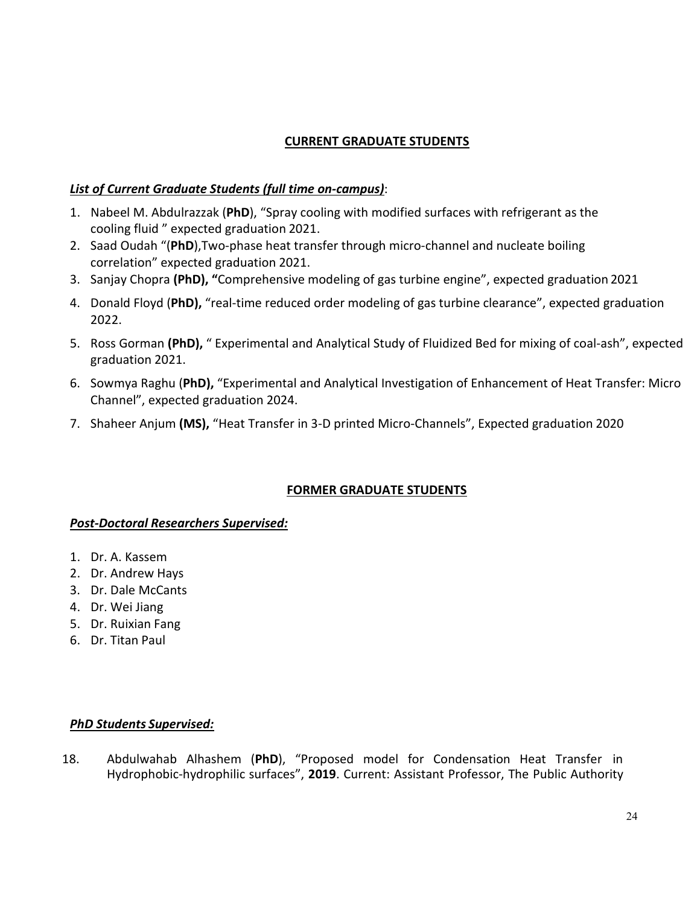# **CURRENT GRADUATE STUDENTS**

### *List of Current Graduate Students (full time on-campus)*:

- 1. Nabeel M. Abdulrazzak (**PhD**), "Spray cooling with modified surfaces with refrigerant as the cooling fluid " expected graduation 2021.
- 2. Saad Oudah "(**PhD**),Two-phase heat transfer through micro-channel and nucleate boiling correlation" expected graduation 2021.
- 3. Sanjay Chopra **(PhD), "**Comprehensive modeling of gas turbine engine", expected graduation 2021
- 4. Donald Floyd (**PhD),** "real-time reduced order modeling of gas turbine clearance", expected graduation 2022.
- 5. Ross Gorman **(PhD),** " Experimental and Analytical Study of Fluidized Bed for mixing of coal-ash", expected graduation 2021.
- 6. Sowmya Raghu (**PhD),** "Experimental and Analytical Investigation of Enhancement of Heat Transfer: Micro Channel", expected graduation 2024.
- 7. Shaheer Anjum **(MS),** "Heat Transfer in 3-D printed Micro-Channels", Expected graduation 2020

### **FORMER GRADUATE STUDENTS**

#### *Post-Doctoral Researchers Supervised:*

- 1. Dr. A. Kassem
- 2. Dr. Andrew Hays
- 3. Dr. Dale McCants
- 4. Dr. Wei Jiang
- 5. Dr. Ruixian Fang
- 6. Dr. Titan Paul

#### *PhD Students Supervised:*

18. Abdulwahab Alhashem (**PhD**), "Proposed model for Condensation Heat Transfer in Hydrophobic-hydrophilic surfaces", **2019**. Current: Assistant Professor, The Public Authority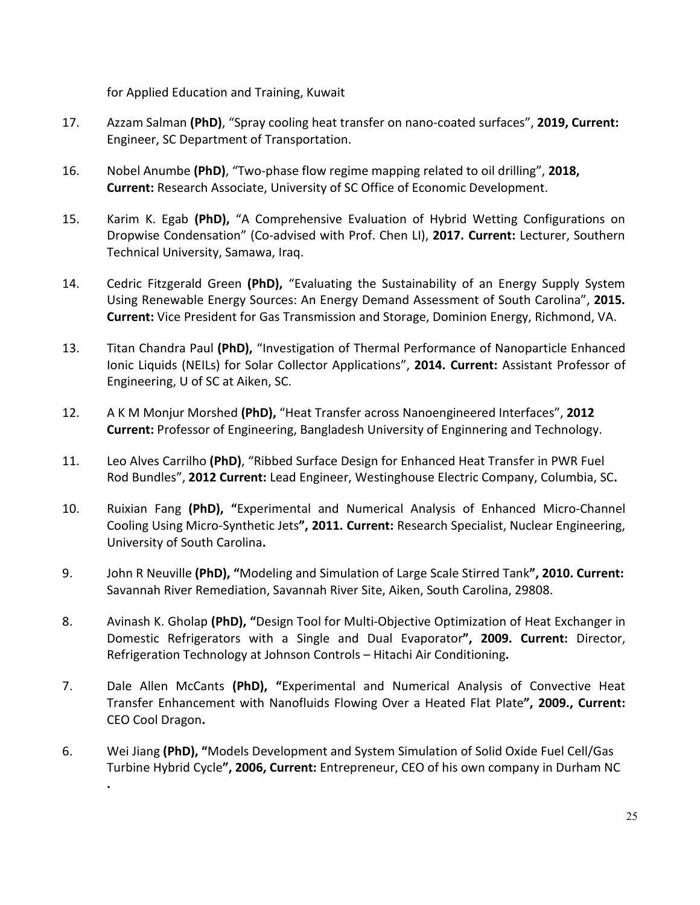for Applied Education and Training, Kuwait

- 17. Azzam Salman **(PhD)**, "Spray cooling heat transfer on nano-coated surfaces", **2019, Current:** Engineer, SC Department of Transportation.
- 16. Nobel Anumbe **(PhD)**, "Two-phase flow regime mapping related to oil drilling", **2018, Current:** Research Associate, University of SC Office of Economic Development.
- 15. Karim K. Egab **(PhD),** "A Comprehensive Evaluation of Hybrid Wetting Configurations on Dropwise Condensation" (Co-advised with Prof. Chen LI), **2017. Current:** Lecturer, Southern Technical University, Samawa, Iraq.
- 14. Cedric Fitzgerald Green **(PhD),** "Evaluating the Sustainability of an Energy Supply System Using Renewable Energy Sources: An Energy Demand Assessment of South Carolina", **2015. Current:** Vice President for Gas Transmission and Storage, Dominion Energy, Richmond, VA.
- 13. Titan Chandra Paul **(PhD),** "Investigation of Thermal Performance of Nanoparticle Enhanced Ionic Liquids (NEILs) for Solar Collector Applications", **2014. Current:** Assistant Professor of Engineering, U of SC at Aiken, SC.
- 12. A K M Monjur Morshed **(PhD),** "Heat Transfer across Nanoengineered Interfaces", **2012 Current:** Professor of Engineering, Bangladesh University of Enginnering and Technology.
- 11. Leo Alves Carrilho **(PhD)**, "Ribbed Surface Design for Enhanced Heat Transfer in PWR Fuel Rod Bundles", **2012 Current:** Lead Engineer, Westinghouse Electric Company, Columbia, SC**.**
- 10. Ruixian Fang **(PhD), "**Experimental and Numerical Analysis of Enhanced Micro-Channel Cooling Using Micro-Synthetic Jets**", 2011. Current:** Research Specialist, Nuclear Engineering, University of South Carolina**.**
- 9. John R Neuville **(PhD), "**Modeling and Simulation of Large Scale Stirred Tank**", 2010. Current:** Savannah River Remediation, Savannah River Site, Aiken, South Carolina, 29808.
- 8. Avinash K. Gholap **(PhD), "**Design Tool for Multi-Objective Optimization of Heat Exchanger in Domestic Refrigerators with a Single and Dual Evaporator**", 2009. Current:** Director, Refrigeration Technology at Johnson Controls – Hitachi Air Conditioning**.**
- 7. Dale Allen McCants **(PhD), "**Experimental and Numerical Analysis of Convective Heat Transfer Enhancement with Nanofluids Flowing Over a Heated Flat Plate**", 2009., Current:**  CEO Cool Dragon**.**
- 6. Wei Jiang **(PhD), "**Models Development and System Simulation of Solid Oxide Fuel Cell/Gas Turbine Hybrid Cycle**", 2006, Current:** Entrepreneur, CEO of his own company in Durham NC

**.**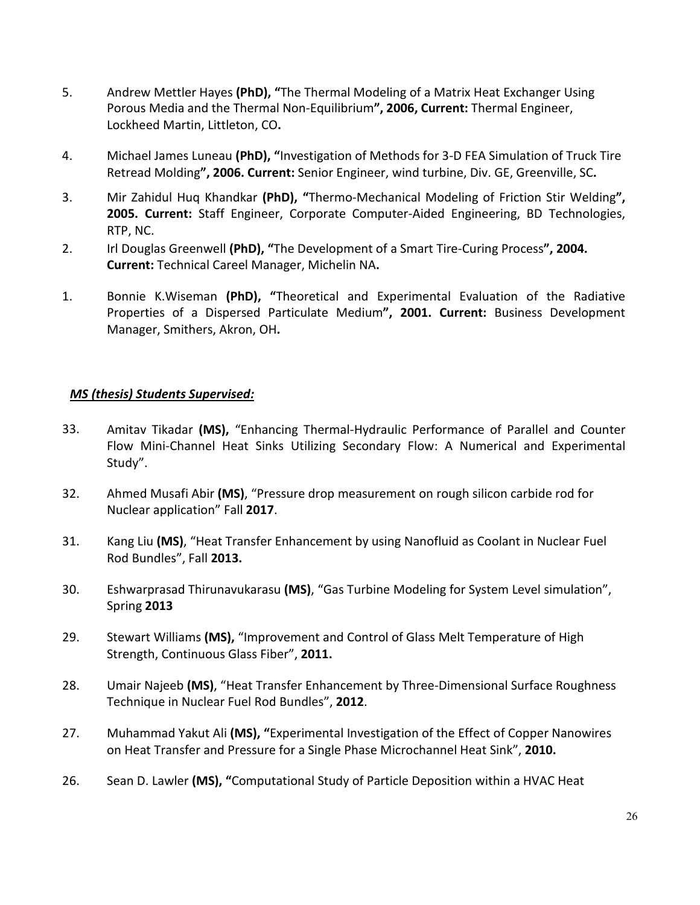- 5. Andrew Mettler Hayes **(PhD), "**The Thermal Modeling of a Matrix Heat Exchanger Using Porous Media and the Thermal Non-Equilibrium**", 2006, Current:** Thermal Engineer, Lockheed Martin, Littleton, CO**.**
- 4. Michael James Luneau **(PhD), "**Investigation of Methods for 3-D FEA Simulation of Truck Tire Retread Molding**", 2006. Current:** Senior Engineer, wind turbine, Div. GE, Greenville, SC**.**
- 3. Mir Zahidul Huq Khandkar **(PhD), "**Thermo-Mechanical Modeling of Friction Stir Welding**", 2005. Current:** Staff Engineer, Corporate Computer-Aided Engineering, BD Technologies, RTP, NC.
- 2. Irl Douglas Greenwell **(PhD), "**The Development of a Smart Tire-Curing Process**", 2004. Current:** Technical Careel Manager, Michelin NA**.**
- 1. Bonnie K.Wiseman **(PhD), "**Theoretical and Experimental Evaluation of the Radiative Properties of a Dispersed Particulate Medium**", 2001. Current:** Business Development Manager, Smithers, Akron, OH**.**

#### *MS (thesis) Students Supervised:*

- 33. Amitav Tikadar **(MS),** "Enhancing Thermal-Hydraulic Performance of Parallel and Counter Flow Mini-Channel Heat Sinks Utilizing Secondary Flow: A Numerical and Experimental Study".
- 32. Ahmed Musafi Abir **(MS)**, "Pressure drop measurement on rough silicon carbide rod for Nuclear application" Fall **2017**.
- 31. Kang Liu **(MS)**, "Heat Transfer Enhancement by using Nanofluid as Coolant in Nuclear Fuel Rod Bundles", Fall **2013.**
- 30. Eshwarprasad Thirunavukarasu **(MS)**, "Gas Turbine Modeling for System Level simulation", Spring **2013**
- 29. Stewart Williams **(MS),** "Improvement and Control of Glass Melt Temperature of High Strength, Continuous Glass Fiber", **2011.**
- 28. Umair Najeeb **(MS)**, "Heat Transfer Enhancement by Three-Dimensional Surface Roughness Technique in Nuclear Fuel Rod Bundles", **2012**.
- 27. Muhammad Yakut Ali **(MS), "**Experimental Investigation of the Effect of Copper Nanowires on Heat Transfer and Pressure for a Single Phase Microchannel Heat Sink", **2010.**
- 26. Sean D. Lawler **(MS), "**Computational Study of Particle Deposition within a HVAC Heat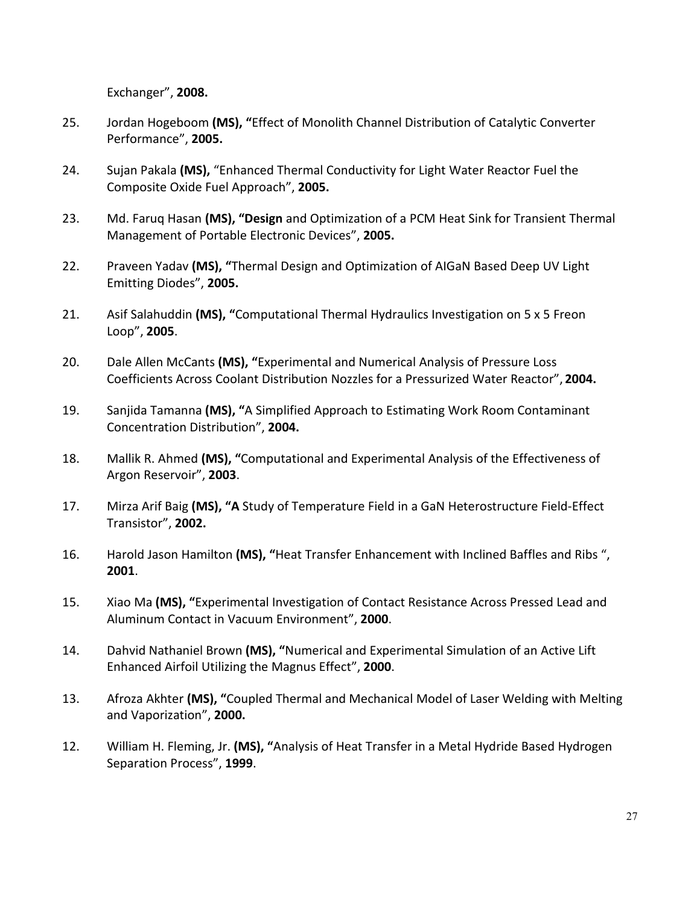Exchanger", **2008.**

- 25. Jordan Hogeboom **(MS), "**Effect of Monolith Channel Distribution of Catalytic Converter Performance", **2005.**
- 24. Sujan Pakala **(MS),** "Enhanced Thermal Conductivity for Light Water Reactor Fuel the Composite Oxide Fuel Approach", **2005.**
- 23. Md. Faruq Hasan **(MS), "Design** and Optimization of a PCM Heat Sink for Transient Thermal Management of Portable Electronic Devices", **2005.**
- 22. Praveen Yadav **(MS), "**Thermal Design and Optimization of AIGaN Based Deep UV Light Emitting Diodes", **2005.**
- 21. Asif Salahuddin **(MS), "**Computational Thermal Hydraulics Investigation on 5 x 5 Freon Loop", **2005**.
- 20. Dale Allen McCants **(MS), "**Experimental and Numerical Analysis of Pressure Loss Coefficients Across Coolant Distribution Nozzles for a Pressurized Water Reactor", **2004.**
- 19. Sanjida Tamanna **(MS), "**A Simplified Approach to Estimating Work Room Contaminant Concentration Distribution", **2004.**
- 18. Mallik R. Ahmed **(MS), "**Computational and Experimental Analysis of the Effectiveness of Argon Reservoir", **2003**.
- 17. Mirza Arif Baig **(MS), "A** Study of Temperature Field in a GaN Heterostructure Field-Effect Transistor", **2002.**
- 16. Harold Jason Hamilton **(MS), "**Heat Transfer Enhancement with Inclined Baffles and Ribs ", **2001**.
- 15. Xiao Ma **(MS), "**Experimental Investigation of Contact Resistance Across Pressed Lead and Aluminum Contact in Vacuum Environment", **2000**.
- 14. Dahvid Nathaniel Brown **(MS), "**Numerical and Experimental Simulation of an Active Lift Enhanced Airfoil Utilizing the Magnus Effect", **2000**.
- 13. Afroza Akhter **(MS), "**Coupled Thermal and Mechanical Model of Laser Welding with Melting and Vaporization", **2000.**
- 12. William H. Fleming, Jr. **(MS), "**Analysis of Heat Transfer in a Metal Hydride Based Hydrogen Separation Process", **1999**.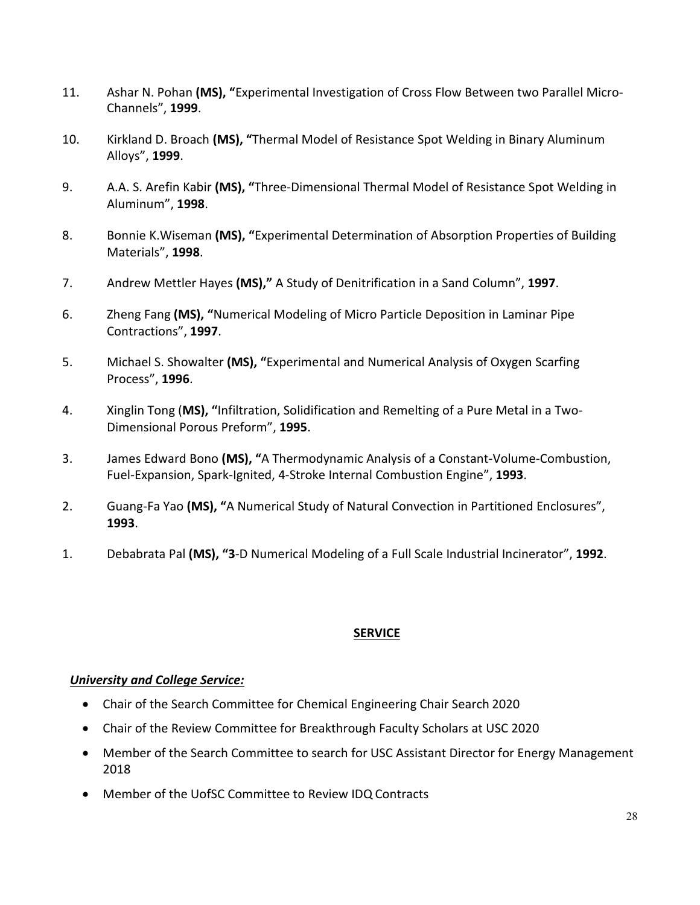- 11. Ashar N. Pohan **(MS), "**Experimental Investigation of Cross Flow Between two Parallel Micro-Channels", **1999**.
- 10. Kirkland D. Broach **(MS), "**Thermal Model of Resistance Spot Welding in Binary Aluminum Alloys", **1999**.
- 9. A.A. S. Arefin Kabir **(MS), "**Three-Dimensional Thermal Model of Resistance Spot Welding in Aluminum", **1998**.
- 8. Bonnie K.Wiseman **(MS), "**Experimental Determination of Absorption Properties of Building Materials", **1998**.
- 7. Andrew Mettler Hayes **(MS),"** A Study of Denitrification in a Sand Column", **1997**.
- 6. Zheng Fang **(MS), "**Numerical Modeling of Micro Particle Deposition in Laminar Pipe Contractions", **1997**.
- 5. Michael S. Showalter **(MS), "**Experimental and Numerical Analysis of Oxygen Scarfing Process", **1996**.
- 4. Xinglin Tong (**MS), "**Infiltration, Solidification and Remelting of a Pure Metal in a Two-Dimensional Porous Preform", **1995**.
- 3. James Edward Bono **(MS), "**A Thermodynamic Analysis of a Constant-Volume-Combustion, Fuel-Expansion, Spark-Ignited, 4-Stroke Internal Combustion Engine", **1993**.
- 2. Guang-Fa Yao **(MS), "**A Numerical Study of Natural Convection in Partitioned Enclosures", **1993**.
- 1. Debabrata Pal **(MS), "3**-D Numerical Modeling of a Full Scale Industrial Incinerator", **1992**.

#### **SERVICE**

#### *University and College Service:*

- Chair of the Search Committee for Chemical Engineering Chair Search 2020
- Chair of the Review Committee for Breakthrough Faculty Scholars at USC 2020
- Member of the Search Committee to search for USC Assistant Director for Energy Management 2018
- Member of the UofSC Committee to Review IDQ Contracts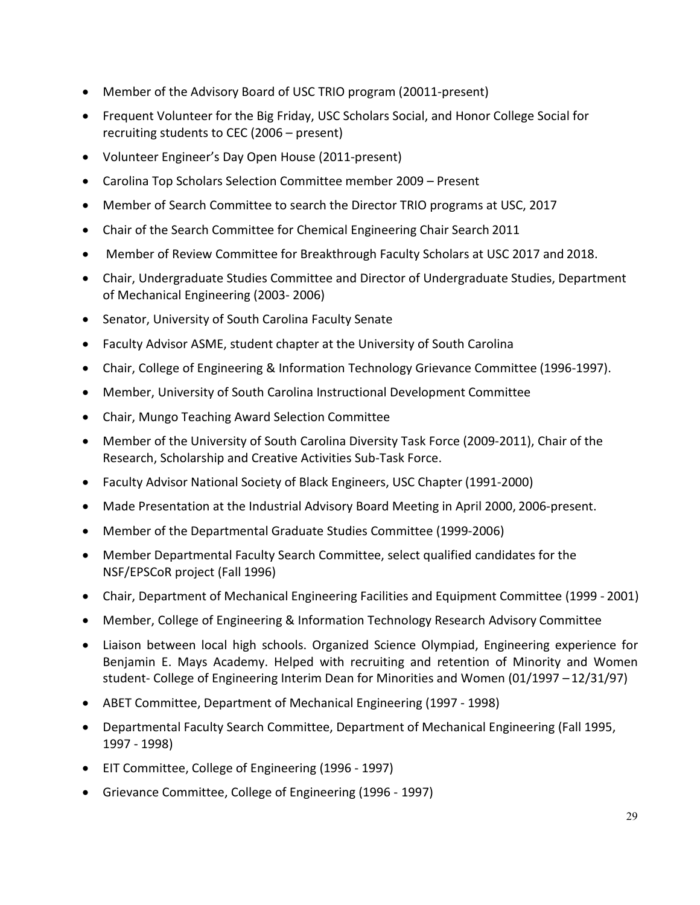- Member of the Advisory Board of USC TRIO program (20011-present)
- Frequent Volunteer for the Big Friday, USC Scholars Social, and Honor College Social for recruiting students to CEC (2006 – present)
- Volunteer Engineer's Day Open House (2011-present)
- Carolina Top Scholars Selection Committee member 2009 Present
- Member of Search Committee to search the Director TRIO programs at USC, 2017
- Chair of the Search Committee for Chemical Engineering Chair Search 2011
- Member of Review Committee for Breakthrough Faculty Scholars at USC 2017 and 2018.
- Chair, Undergraduate Studies Committee and Director of Undergraduate Studies, Department of Mechanical Engineering (2003- 2006)
- Senator, University of South Carolina Faculty Senate
- Faculty Advisor ASME, student chapter at the University of South Carolina
- Chair, College of Engineering & Information Technology Grievance Committee (1996-1997).
- Member, University of South Carolina Instructional Development Committee
- Chair, Mungo Teaching Award Selection Committee
- Member of the University of South Carolina Diversity Task Force (2009-2011), Chair of the Research, Scholarship and Creative Activities Sub-Task Force.
- Faculty Advisor National Society of Black Engineers, USC Chapter (1991-2000)
- Made Presentation at the Industrial Advisory Board Meeting in April 2000, 2006-present.
- Member of the Departmental Graduate Studies Committee (1999-2006)
- Member Departmental Faculty Search Committee, select qualified candidates for the NSF/EPSCoR project (Fall 1996)
- Chair, Department of Mechanical Engineering Facilities and Equipment Committee (1999 2001)
- Member, College of Engineering & Information Technology Research Advisory Committee
- Liaison between local high schools. Organized Science Olympiad, Engineering experience for Benjamin E. Mays Academy. Helped with recruiting and retention of Minority and Women student- College of Engineering Interim Dean for Minorities and Women (01/1997 – 12/31/97)
- ABET Committee, Department of Mechanical Engineering (1997 1998)
- Departmental Faculty Search Committee, Department of Mechanical Engineering (Fall 1995, 1997 - 1998)
- EIT Committee, College of Engineering (1996 1997)
- Grievance Committee, College of Engineering (1996 1997)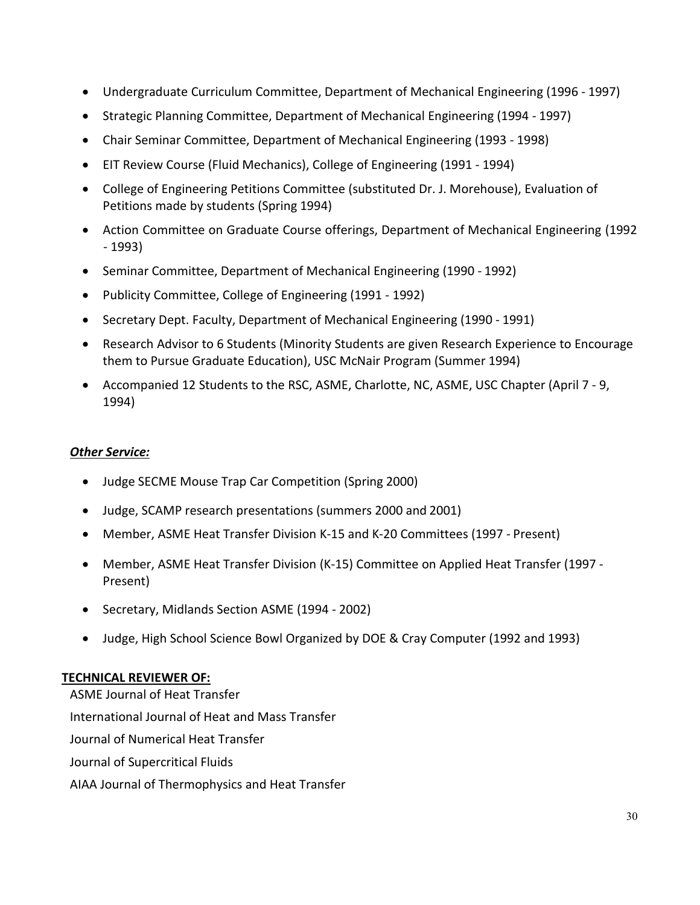- Undergraduate Curriculum Committee, Department of Mechanical Engineering (1996 1997)
- Strategic Planning Committee, Department of Mechanical Engineering (1994 1997)
- Chair Seminar Committee, Department of Mechanical Engineering (1993 1998)
- EIT Review Course (Fluid Mechanics), College of Engineering (1991 1994)
- College of Engineering Petitions Committee (substituted Dr. J. Morehouse), Evaluation of Petitions made by students (Spring 1994)
- Action Committee on Graduate Course offerings, Department of Mechanical Engineering (1992 - 1993)
- Seminar Committee, Department of Mechanical Engineering (1990 1992)
- Publicity Committee, College of Engineering (1991 1992)
- Secretary Dept. Faculty, Department of Mechanical Engineering (1990 1991)
- Research Advisor to 6 Students (Minority Students are given Research Experience to Encourage them to Pursue Graduate Education), USC McNair Program (Summer 1994)
- Accompanied 12 Students to the RSC, ASME, Charlotte, NC, ASME, USC Chapter (April 7 9, 1994)

### *Other Service:*

- Judge SECME Mouse Trap Car Competition (Spring 2000)
- Judge, SCAMP research presentations (summers 2000 and 2001)
- Member, ASME Heat Transfer Division K-15 and K-20 Committees (1997 Present)
- Member, ASME Heat Transfer Division (K-15) Committee on Applied Heat Transfer (1997 Present)
- Secretary, Midlands Section ASME (1994 2002)
- Judge, High School Science Bowl Organized by DOE & Cray Computer (1992 and 1993)

### **TECHNICAL REVIEWER OF:**

ASME Journal of Heat Transfer International Journal of Heat and Mass Transfer Journal of Numerical Heat Transfer Journal of Supercritical Fluids AIAA Journal of Thermophysics and Heat Transfer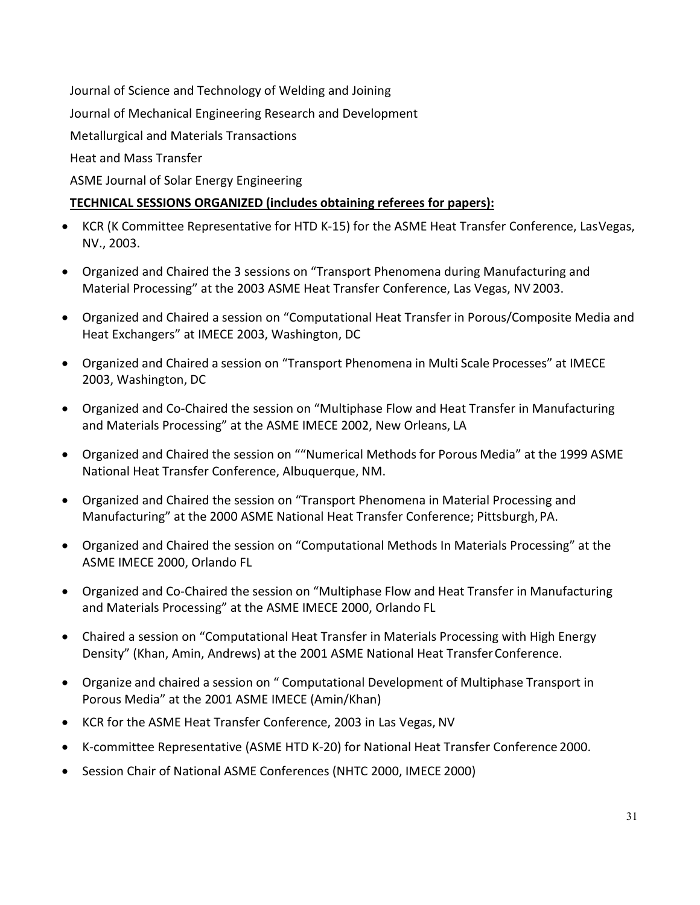Journal of Science and Technology of Welding and Joining Journal of Mechanical Engineering Research and Development Metallurgical and Materials Transactions Heat and Mass Transfer ASME Journal of Solar Energy Engineering

# **TECHNICAL SESSIONS ORGANIZED (includes obtaining referees for papers):**

- KCR (K Committee Representative for HTD K-15) for the ASME Heat Transfer Conference, LasVegas, NV., 2003.
- Organized and Chaired the 3 sessions on "Transport Phenomena during Manufacturing and Material Processing" at the 2003 ASME Heat Transfer Conference, Las Vegas, NV 2003.
- Organized and Chaired a session on "Computational Heat Transfer in Porous/Composite Media and Heat Exchangers" at IMECE 2003, Washington, DC
- Organized and Chaired a session on "Transport Phenomena in Multi Scale Processes" at IMECE 2003, Washington, DC
- Organized and Co-Chaired the session on "Multiphase Flow and Heat Transfer in Manufacturing and Materials Processing" at the ASME IMECE 2002, New Orleans, LA
- Organized and Chaired the session on ""Numerical Methods for Porous Media" at the 1999 ASME National Heat Transfer Conference, Albuquerque, NM.
- Organized and Chaired the session on "Transport Phenomena in Material Processing and Manufacturing" at the 2000 ASME National Heat Transfer Conference; Pittsburgh,PA.
- Organized and Chaired the session on "Computational Methods In Materials Processing" at the ASME IMECE 2000, Orlando FL
- Organized and Co-Chaired the session on "Multiphase Flow and Heat Transfer in Manufacturing and Materials Processing" at the ASME IMECE 2000, Orlando FL
- Chaired a session on "Computational Heat Transfer in Materials Processing with High Energy Density" (Khan, Amin, Andrews) at the 2001 ASME National Heat TransferConference.
- Organize and chaired a session on " Computational Development of Multiphase Transport in Porous Media" at the 2001 ASME IMECE (Amin/Khan)
- KCR for the ASME Heat Transfer Conference, 2003 in Las Vegas, NV
- K-committee Representative (ASME HTD K-20) for National Heat Transfer Conference 2000.
- Session Chair of National ASME Conferences (NHTC 2000, IMECE 2000)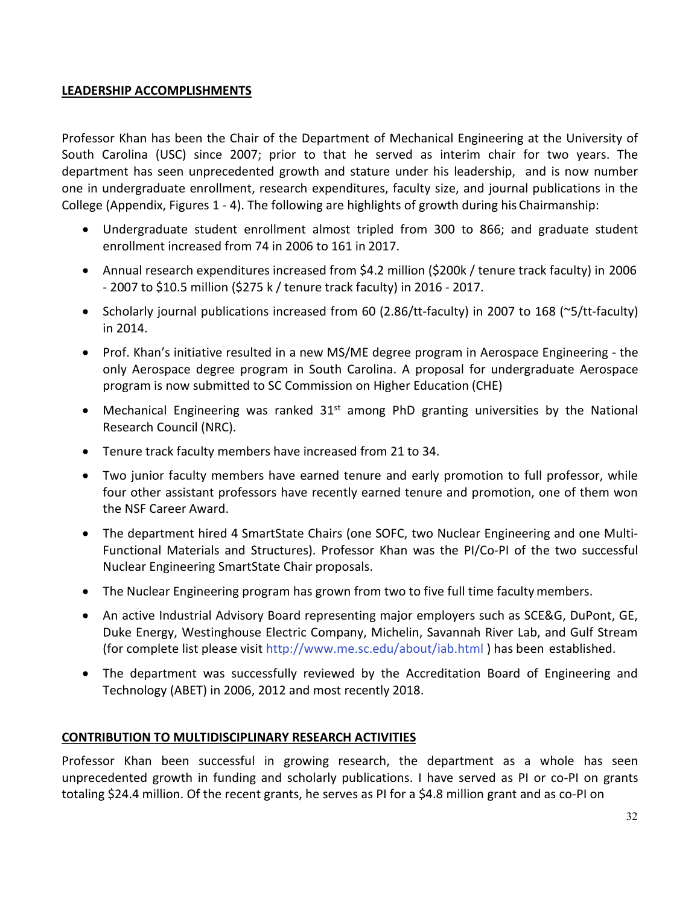#### **LEADERSHIP ACCOMPLISHMENTS**

Professor Khan has been the Chair of the Department of Mechanical Engineering at the University of South Carolina (USC) since 2007; prior to that he served as interim chair for two years. The department has seen unprecedented growth and stature under his leadership, and is now number one in undergraduate enrollment, research expenditures, faculty size, and journal publications in the College (Appendix, Figures 1 - 4). The following are highlights of growth during his Chairmanship:

- Undergraduate student enrollment almost tripled from 300 to 866; and graduate student enrollment increased from 74 in 2006 to 161 in 2017.
- Annual research expenditures increased from \$4.2 million (\$200k / tenure track faculty) in 2006 - 2007 to \$10.5 million (\$275 k / tenure track faculty) in 2016 - 2017.
- Scholarly journal publications increased from 60 (2.86/tt-faculty) in 2007 to 168 (~5/tt-faculty) in 2014.
- Prof. Khan's initiative resulted in a new MS/ME degree program in Aerospace Engineering the only Aerospace degree program in South Carolina. A proposal for undergraduate Aerospace program is now submitted to SC Commission on Higher Education (CHE)
- Mechanical Engineering was ranked  $31<sup>st</sup>$  among PhD granting universities by the National Research Council (NRC).
- Tenure track faculty members have increased from 21 to 34.
- Two junior faculty members have earned tenure and early promotion to full professor, while four other assistant professors have recently earned tenure and promotion, one of them won the NSF Career Award.
- The department hired 4 SmartState Chairs (one SOFC, two Nuclear Engineering and one Multi-Functional Materials and Structures). Professor Khan was the PI/Co-PI of the two successful Nuclear Engineering SmartState Chair proposals.
- The Nuclear Engineering program has grown from two to five full time faculty members.
- An active Industrial Advisory Board representing major employers such as SCE&G, DuPont, GE, Duke Energy, Westinghouse Electric Company, Michelin, Savannah River Lab, and Gulf Stream (for complete list please visit [http://www.me.sc.edu/about/iab.html \)](http://www.me.sc.edu/about/iab.html) has been established.
- The department was successfully reviewed by the Accreditation Board of Engineering and Technology (ABET) in 2006, 2012 and most recently 2018.

#### **CONTRIBUTION TO MULTIDISCIPLINARY RESEARCH ACTIVITIES**

Professor Khan been successful in growing research, the department as a whole has seen unprecedented growth in funding and scholarly publications. I have served as PI or co-PI on grants totaling \$24.4 million. Of the recent grants, he serves as PI for a \$4.8 million grant and as co-PI on